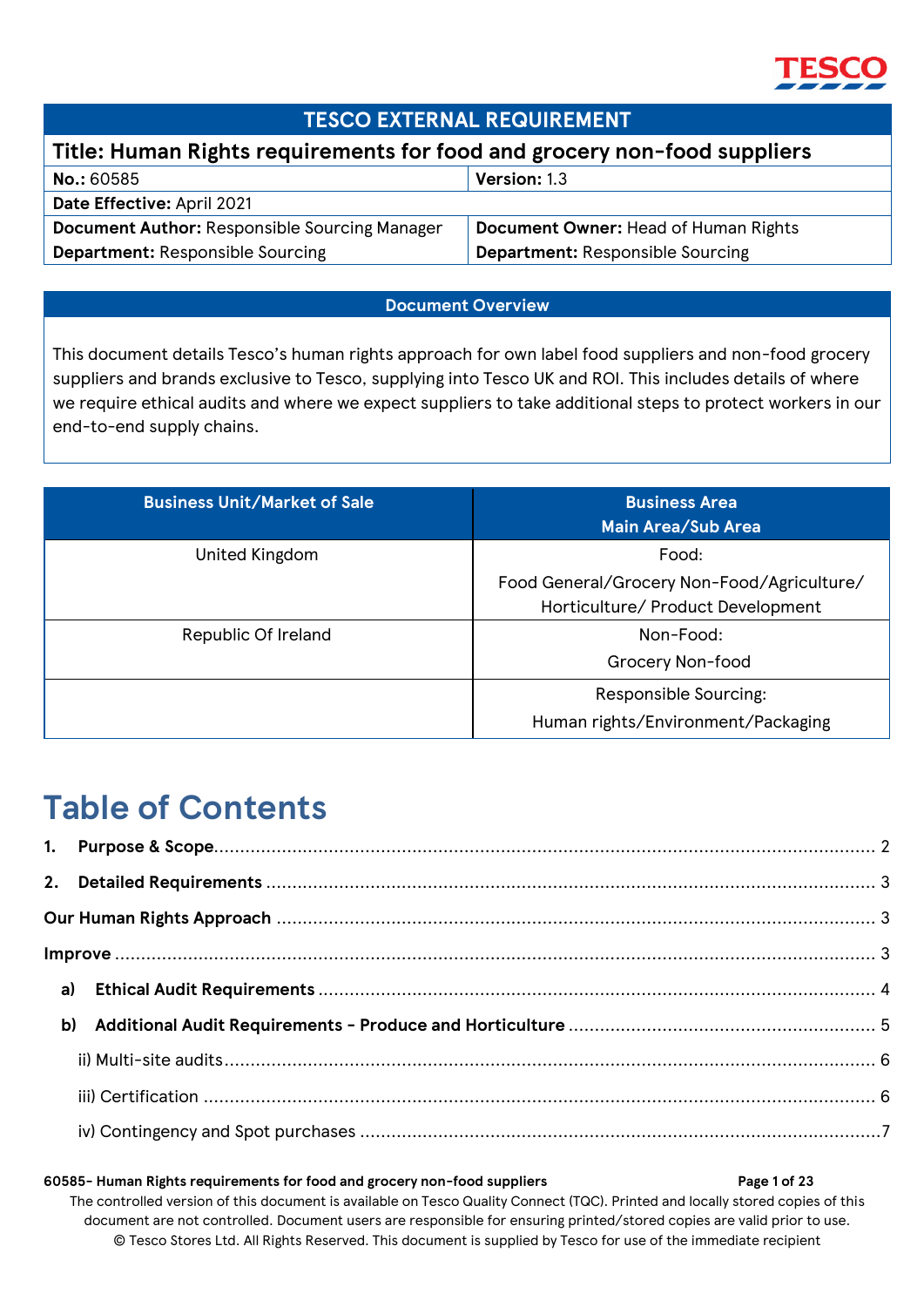

### **TESCO EXTERNAL REQUIREMENT**

### **Title: Human Rights requirements for food and grocery non-food suppliers**

| <b>No.: 60585</b>                                    | <b>Version: 1.3</b>                     |
|------------------------------------------------------|-----------------------------------------|
| Date Effective: April 2021                           |                                         |
| <b>Document Author: Responsible Sourcing Manager</b> | Document Owner: Head of Human Rights    |
| <b>Department: Responsible Sourcing</b>              | <b>Department: Responsible Sourcing</b> |

#### **Document Overview**

This document details Tesco's human rights approach for own label food suppliers and non-food grocery suppliers and brands exclusive to Tesco, supplying into Tesco UK and ROI. This includes details of where we require ethical audits and where we expect suppliers to take additional steps to protect workers in our end-to-end supply chains.

| <b>Business Unit/Market of Sale</b> | <b>Business Area</b><br><b>Main Area/Sub Area</b>                               |
|-------------------------------------|---------------------------------------------------------------------------------|
| United Kingdom                      | Food:                                                                           |
|                                     | Food General/Grocery Non-Food/Agriculture/<br>Horticulture/ Product Development |
| Republic Of Ireland                 | Non-Food:                                                                       |
|                                     | Grocery Non-food                                                                |
|                                     | Responsible Sourcing:                                                           |
|                                     | Human rights/Environment/Packaging                                              |

# **Table of Contents**

| b) |  |  |  |
|----|--|--|--|
|    |  |  |  |
|    |  |  |  |
|    |  |  |  |

#### **60585- Human Rights requirements for food and grocery non-food suppliers Page 1 of 23**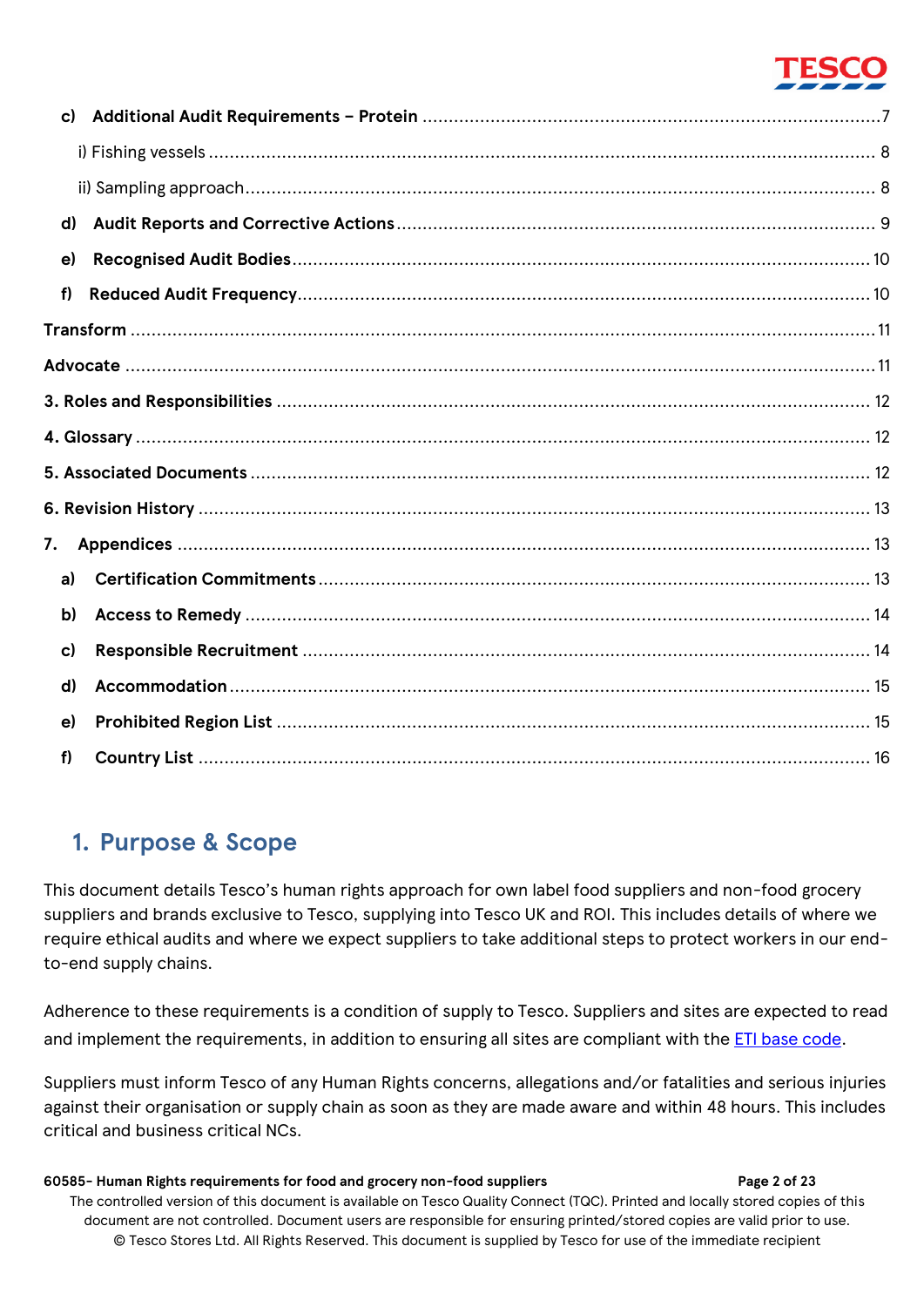| c) |  |
|----|--|
|    |  |
|    |  |
| d) |  |
| e) |  |
| f  |  |
|    |  |
|    |  |
|    |  |
|    |  |
|    |  |
|    |  |
| 7. |  |
| a) |  |
| b) |  |
| c) |  |
| d) |  |
| e) |  |
| f  |  |

## <span id="page-1-0"></span>**1. Purpose & Scope**

This document details Tesco's human rights approach for own label food suppliers and non-food grocery suppliers and brands exclusive to Tesco, supplying into Tesco UK and ROI. This includes details of where we require ethical audits and where we expect suppliers to take additional steps to protect workers in our endto-end supply chains.

Adherence to these requirements is a condition of supply to Tesco. Suppliers and sites are expected to read and implement the requirements, in addition to ensuring all sites are compliant with the **ETI** base code.

Suppliers must inform Tesco of any Human Rights concerns, allegations and/or fatalities and serious injuries against their organisation or supply chain as soon as they are made aware and within 48 hours. This includes critical and business critical NCs.

#### **60585- Human Rights requirements for food and grocery non-food suppliers Page 2 of 23**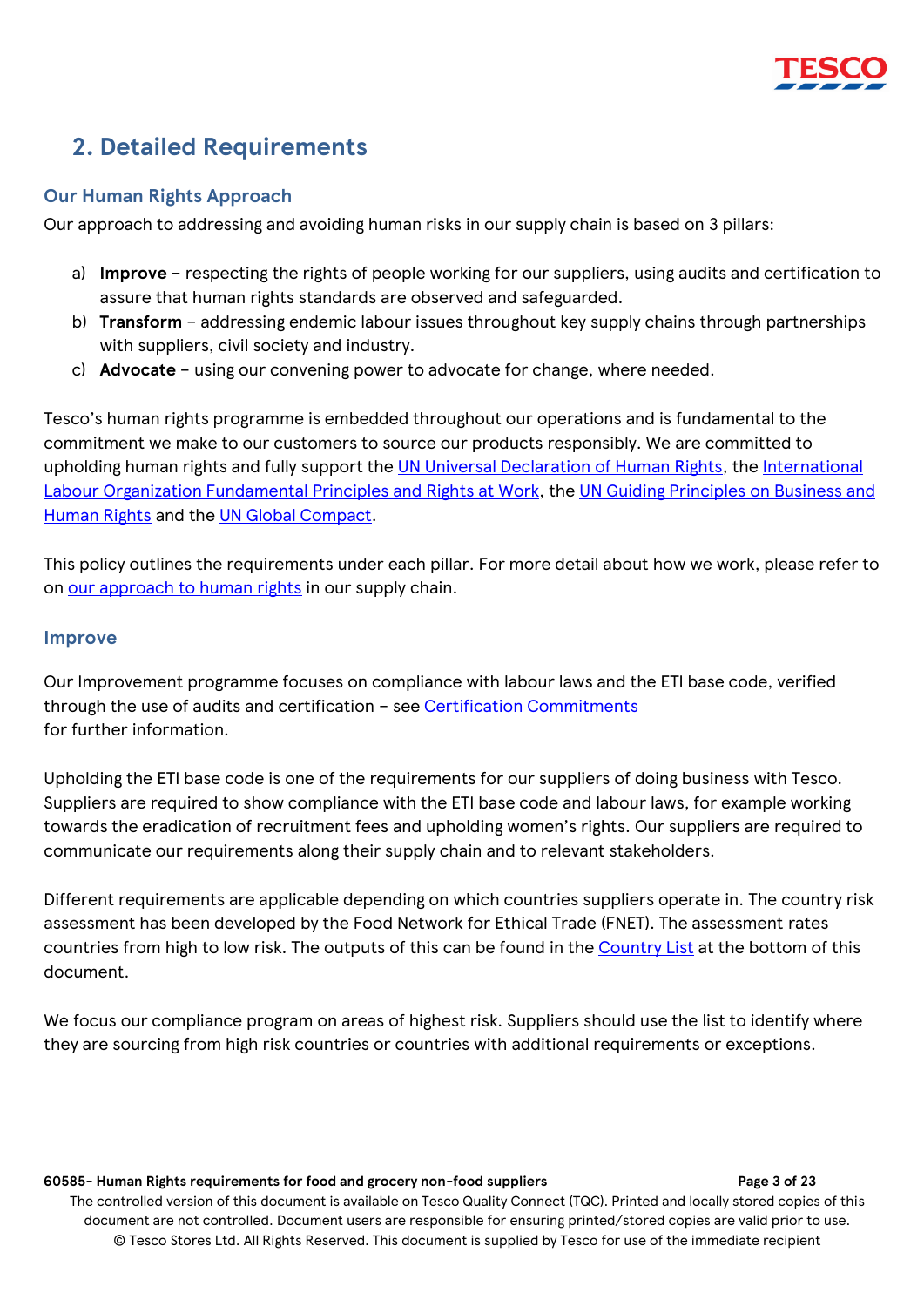## <span id="page-2-0"></span>**2. Detailed Requirements**

#### <span id="page-2-1"></span>**Our Human Rights Approach**

Our approach to addressing and avoiding human risks in our supply chain is based on 3 pillars:

- a) **Improve** respecting the rights of people working for our suppliers, using audits and certification to assure that human rights standards are observed and safeguarded.
- b) **Transform** addressing endemic labour issues throughout key supply chains through partnerships with suppliers, civil society and industry.
- c) **[Advocate](#page-10-1)** using our convening power to advocate for change, where needed.

Tesco's human rights programme is embedded throughout our operations and is fundamental to the commitment we make to our customers to source our products responsibly. We are committed to upholding human rights and fully support the [UN Universal Declaration of Human Rights,](http://www.un.org/en/universal-declaration-human-rights/) the [International](http://www.ilo.org/declaration/lang--en/index.htm)  Labour Organization [Fundamental Principles and Rights at Work,](http://www.ilo.org/declaration/lang--en/index.htm) the [UN Guiding Principles on Business and](https://www.ohchr.org/Documents/Publications/GuidingPrinciplesBusinessHR_EN.pdf)  [Human Rights](https://www.ohchr.org/Documents/Publications/GuidingPrinciplesBusinessHR_EN.pdf) and the [UN Global Compact.](https://www.unglobalcompact.org/)

This policy outlines the requirements under each pillar. For more detail about how we work, please refer to on [our approach to human rights](https://www.tescoplc.com/sustainability/documents/policies/our-approach-to-human-rights/) in our supply chain.

#### <span id="page-2-2"></span>**Improve**

Our Improvement programme focuses on compliance with labour laws and the ETI base code, verified through the use of audits and certification – see [Certification Commitments](#page-12-2) for further information.

Upholding the ETI base code is one of the requirements for our suppliers of doing business with Tesco. Suppliers are required to show compliance with the ETI base code and labour laws, for example working towards the eradication of recruitment fees and upholding women's rights. Our suppliers are required to communicate our requirements along their supply chain and to relevant stakeholders.

Different requirements are applicable depending on which countries suppliers operate in. The country risk assessment has been developed by the Food Network for Ethical Trade (FNET). The assessment rates countries from high to low risk. The outputs of this can be found in the **[Country List](#page-15-0)** at the bottom of this document.

We focus our compliance program on areas of highest risk. Suppliers should use the list to identify where they are sourcing from high risk countries or countries with additional requirements or exceptions.

#### **60585- Human Rights requirements for food and grocery non-food suppliers Page 3 of 23**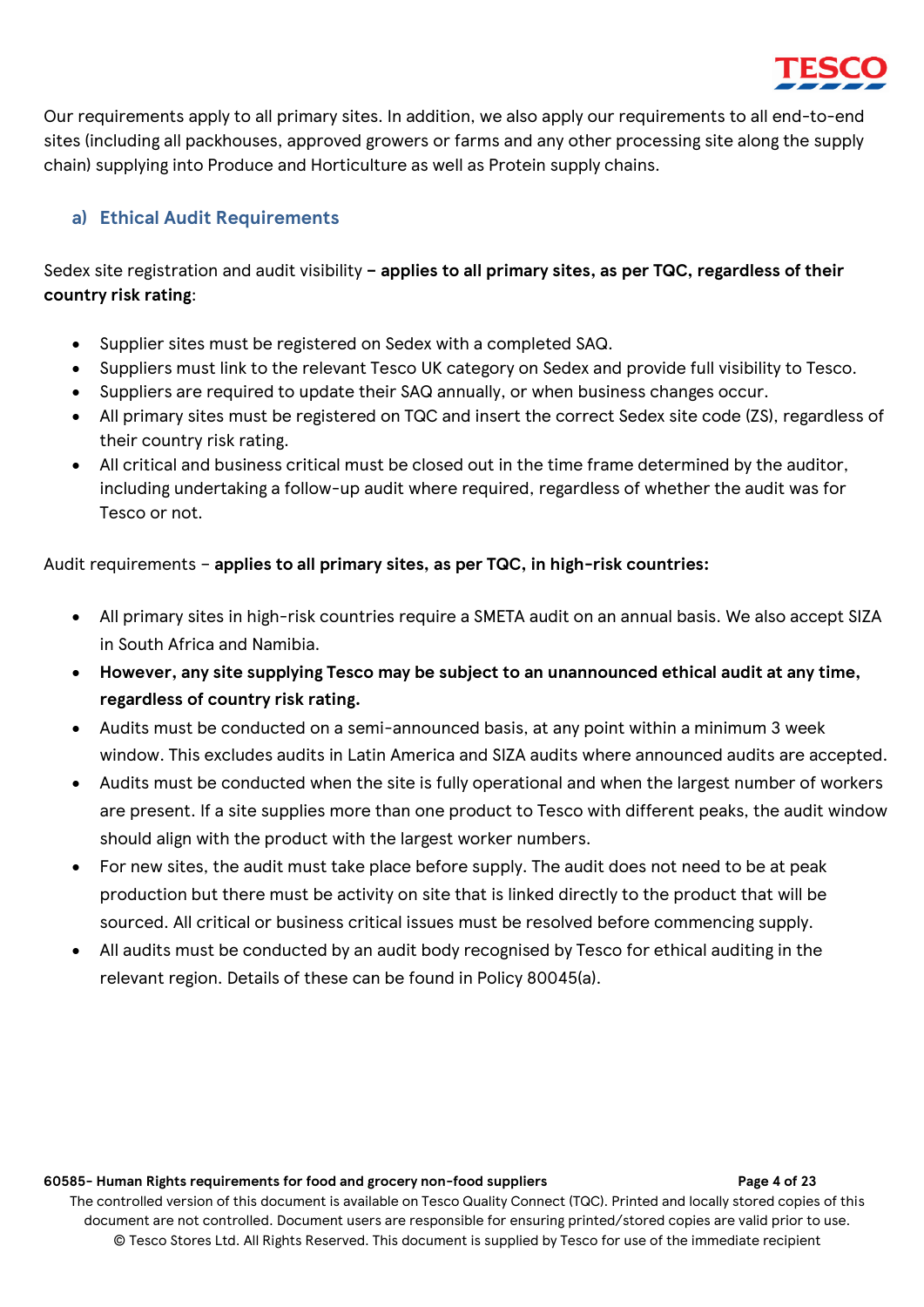

Our requirements apply to all primary sites. In addition, we also apply our requirements to all end-to-end sites (including all packhouses, approved growers or farms and any other processing site along the supply chain) supplying into Produce and Horticulture as well as Protein supply chains.

### <span id="page-3-0"></span>**a) Ethical Audit Requirements**

Sedex site registration and audit visibility **– applies to all primary sites, as per TQC, regardless of their country risk rating**:

- Supplier sites must be registered on Sedex with a completed SAQ.
- Suppliers must link to the relevant Tesco UK category on Sedex and provide full visibility to Tesco.
- Suppliers are required to update their SAQ annually, or when business changes occur.
- All primary sites must be registered on TQC and insert the correct Sedex site code (ZS), regardless of their country risk rating.
- All critical and business critical must be closed out in the time frame determined by the auditor, including undertaking a follow-up audit where required, regardless of whether the audit was for Tesco or not.

Audit requirements – **applies to all primary sites, as per TQC, in high-risk countries:**

- All primary sites in high-risk countries require a SMETA audit on an annual basis. We also accept SIZA in South Africa and Namibia.
- **However, any site supplying Tesco may be subject to an unannounced ethical audit at any time, regardless of country risk rating.**
- Audits must be conducted on a semi-announced basis, at any point within a minimum 3 week window. This excludes audits in Latin America and SIZA audits where announced audits are accepted.
- Audits must be conducted when the site is fully operational and when the largest number of workers are present. If a site supplies more than one product to Tesco with different peaks, the audit window should align with the product with the largest worker numbers.
- For new sites, the audit must take place before supply. The audit does not need to be at peak production but there must be activity on site that is linked directly to the product that will be sourced. All critical or business critical issues must be resolved before commencing supply.
- All audits must be conducted by an audit body recognised by Tesco for ethical auditing in the relevant region. Details of these can be found in Policy 80045(a).

#### **60585- Human Rights requirements for food and grocery non-food suppliers Page 4 of 23**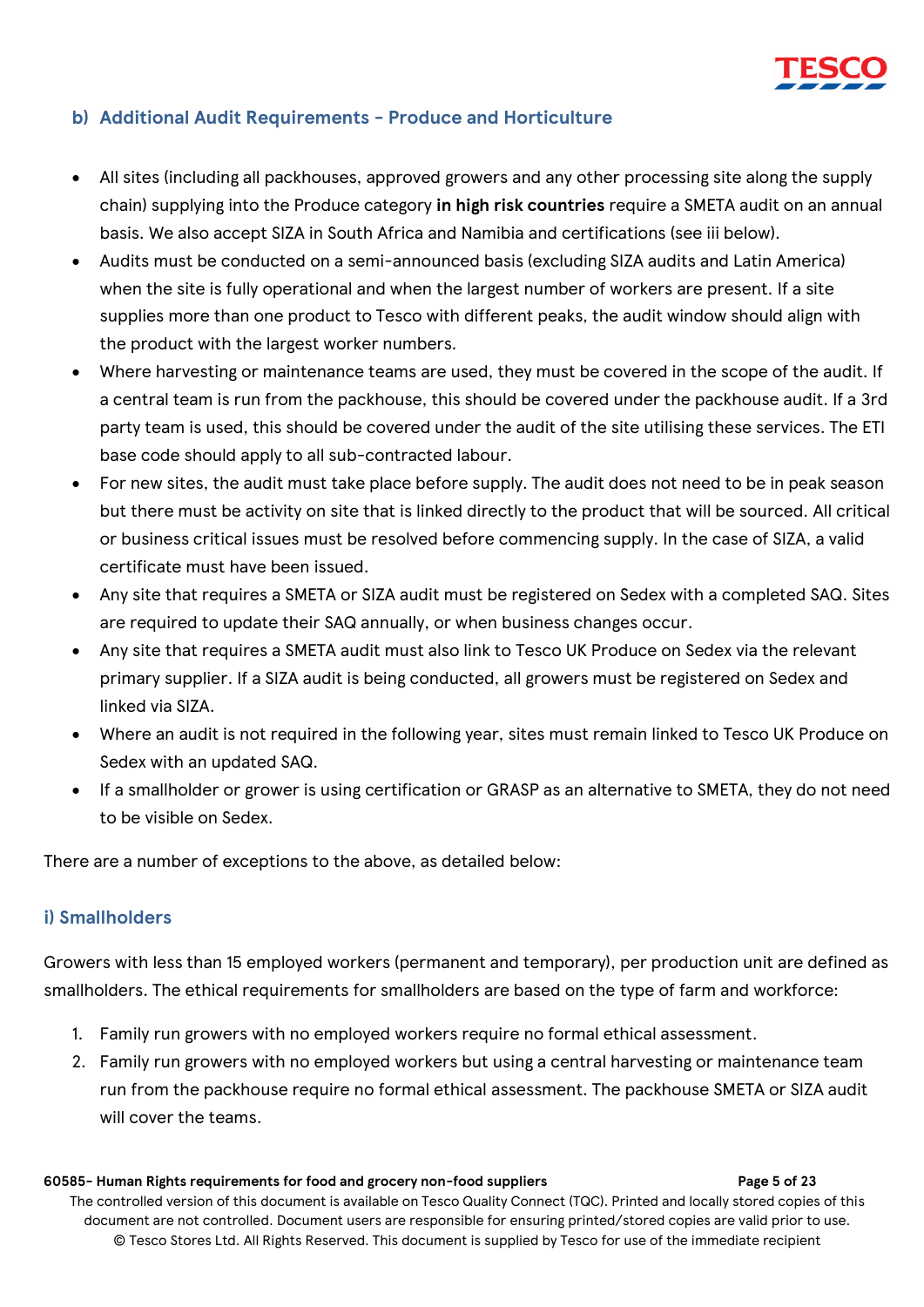

#### <span id="page-4-0"></span>**b) Additional Audit Requirements - Produce and Horticulture**

- All sites (including all packhouses, approved growers and any other processing site along the supply chain) supplying into the Produce category **in high risk countries** require a SMETA audit on an annual basis. We also accept SIZA in South Africa and Namibia and certifications (see iii below).
- Audits must be conducted on a semi-announced basis (excluding SIZA audits and Latin America) when the site is fully operational and when the largest number of workers are present. If a site supplies more than one product to Tesco with different peaks, the audit window should align with the product with the largest worker numbers.
- Where harvesting or maintenance teams are used, they must be covered in the scope of the audit. If a central team is run from the packhouse, this should be covered under the packhouse audit. If a 3rd party team is used, this should be covered under the audit of the site utilising these services. The ETI base code should apply to all sub-contracted labour.
- For new sites, the audit must take place before supply. The audit does not need to be in peak season but there must be activity on site that is linked directly to the product that will be sourced. All critical or business critical issues must be resolved before commencing supply. In the case of SIZA, a valid certificate must have been issued.
- Any site that requires a SMETA or SIZA audit must be registered on Sedex with a completed SAQ. Sites are required to update their SAQ annually, or when business changes occur.
- Any site that requires a SMETA audit must also link to Tesco UK Produce on Sedex via the relevant primary supplier. If a SIZA audit is being conducted, all growers must be registered on Sedex and linked via SIZA.
- Where an audit is not required in the following year, sites must remain linked to Tesco UK Produce on Sedex with an updated SAQ.
- If a smallholder or grower is using certification or GRASP as an alternative to SMETA, they do not need to be visible on Sedex.

There are a number of exceptions to the above, as detailed below:

#### <span id="page-4-1"></span>**i) Smallholders**

Growers with less than 15 employed workers (permanent and temporary), per production unit are defined as smallholders. The ethical requirements for smallholders are based on the type of farm and workforce:

- 1. Family run growers with no employed workers require no formal ethical assessment.
- 2. Family run growers with no employed workers but using a central harvesting or maintenance team run from the packhouse require no formal ethical assessment. The packhouse SMETA or SIZA audit will cover the teams.

#### **60585- Human Rights requirements for food and grocery non-food suppliers Page 5 of 23**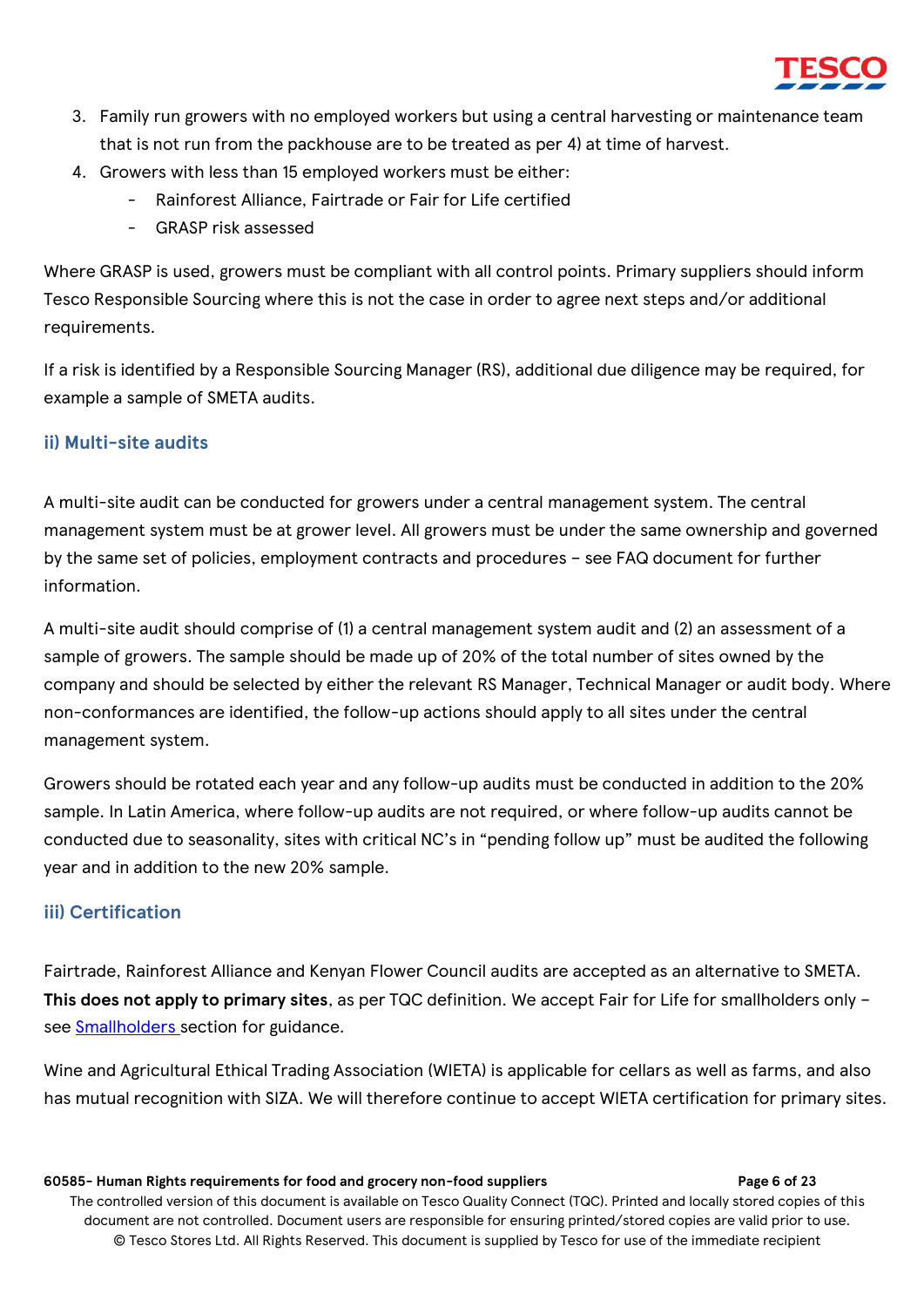

- 3. Family run growers with no employed workers but using a central harvesting or maintenance team that is not run from the packhouse are to be treated as per 4) at time of harvest.
- 4. Growers with less than 15 employed workers must be either:
	- Rainforest Alliance, Fairtrade or Fair for Life certified
	- GRASP risk assessed

Where GRASP is used, growers must be compliant with all control points. Primary suppliers should inform Tesco Responsible Sourcing where this is not the case in order to agree next steps and/or additional requirements.

If a risk is identified by a Responsible Sourcing Manager (RS), additional due diligence may be required, for example a sample of SMETA audits.

### <span id="page-5-0"></span>**ii) Multi-site audits**

A multi-site audit can be conducted for growers under a central management system. The central management system must be at grower level. All growers must be under the same ownership and governed by the same set of policies, employment contracts and procedures – see FAQ document for further information.

A multi-site audit should comprise of (1) a central management system audit and (2) an assessment of a sample of growers. The sample should be made up of 20% of the total number of sites owned by the company and should be selected by either the relevant RS Manager, Technical Manager or audit body. Where non-conformances are identified, the follow-up actions should apply to all sites under the central management system.

Growers should be rotated each year and any follow-up audits must be conducted in addition to the 20% sample. In Latin America, where follow-up audits are not required, or where follow-up audits cannot be conducted due to seasonality, sites with critical NC's in "pending follow up" must be audited the following year and in addition to the new 20% sample.

### <span id="page-5-1"></span>**iii) Certification**

Fairtrade, Rainforest Alliance and Kenyan Flower Council audits are accepted as an alternative to SMETA. **This does not apply to primary sites**, as per TQC definition. We accept Fair for Life for smallholders only – see [Smallholders s](#page-4-1)ection for guidance.

Wine and Agricultural Ethical Trading Association (WIETA) is applicable for cellars as well as farms, and also has mutual recognition with SIZA. We will therefore continue to accept WIETA certification for primary sites.

#### **60585- Human Rights requirements for food and grocery non-food suppliers Page 6 of 23**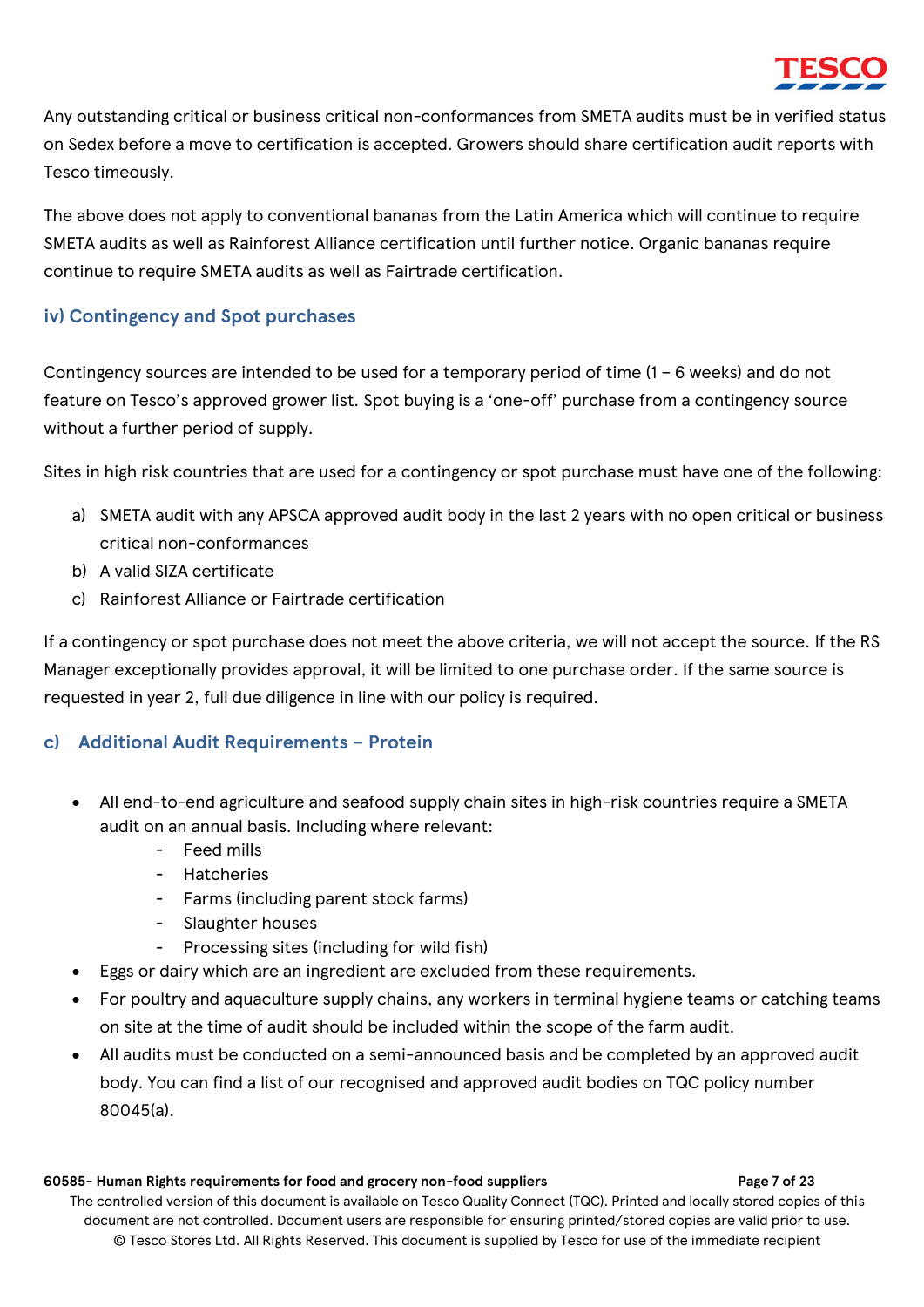

Any outstanding critical or business critical non-conformances from SMETA audits must be in verified status on Sedex before a move to certification is accepted. Growers should share certification audit reports with Tesco timeously.

The above does not apply to conventional bananas from the Latin America which will continue to require SMETA audits as well as Rainforest Alliance certification until further notice. Organic bananas require continue to require SMETA audits as well as Fairtrade certification.

### <span id="page-6-0"></span>**iv) Contingency and Spot purchases**

Contingency sources are intended to be used for a temporary period of time (1 – 6 weeks) and do not feature on Tesco's approved grower list. Spot buying is a 'one-off' purchase from a contingency source without a further period of supply.

Sites in high risk countries that are used for a contingency or spot purchase must have one of the following:

- a) SMETA audit with any APSCA approved audit body in the last 2 years with no open critical or business critical non-conformances
- b) A valid SIZA certificate
- c) Rainforest Alliance or Fairtrade certification

If a contingency or spot purchase does not meet the above criteria, we will not accept the source. If the RS Manager exceptionally provides approval, it will be limited to one purchase order. If the same source is requested in year 2, full due diligence in line with our policy is required.

#### <span id="page-6-1"></span>**c) Additional Audit Requirements – Protein**

- All end-to-end agriculture and seafood supply chain sites in high-risk countries require a SMETA audit on an annual basis. Including where relevant:
	- Feed mills
	- Hatcheries
	- Farms (including parent stock farms)
	- Slaughter houses
	- Processing sites (including for wild fish)
- Eggs or dairy which are an ingredient are excluded from these requirements.
- For poultry and aquaculture supply chains, any workers in terminal hygiene teams or catching teams on site at the time of audit should be included within the scope of the farm audit.
- All audits must be conducted on a semi-announced basis and be completed by an approved audit body. You can find a list of our recognised and approved audit bodies on TQC policy number 80045(a).

#### **60585- Human Rights requirements for food and grocery non-food suppliers Page 7 of 23**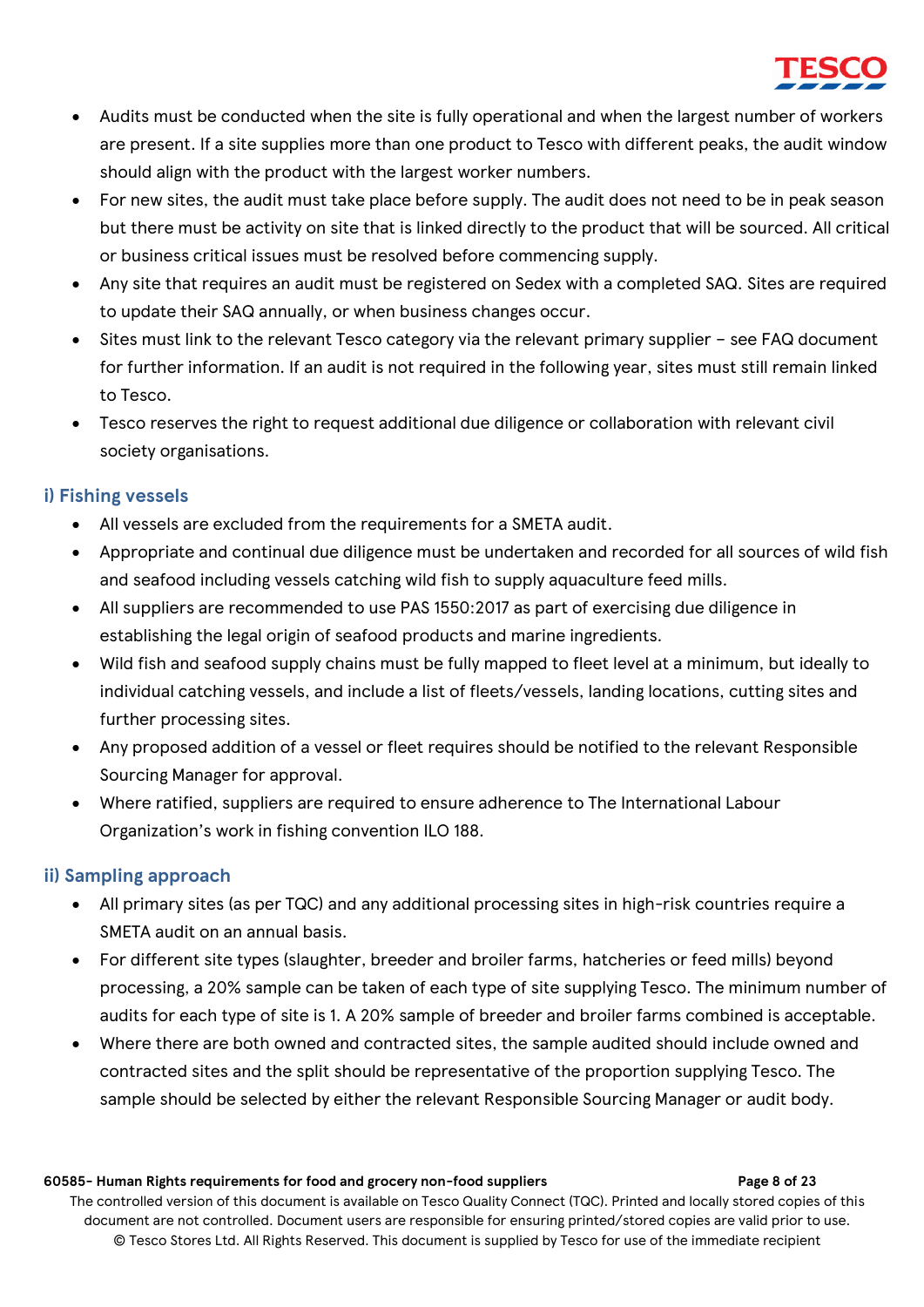

- Audits must be conducted when the site is fully operational and when the largest number of workers are present. If a site supplies more than one product to Tesco with different peaks, the audit window should align with the product with the largest worker numbers.
- For new sites, the audit must take place before supply. The audit does not need to be in peak season but there must be activity on site that is linked directly to the product that will be sourced. All critical or business critical issues must be resolved before commencing supply.
- Any site that requires an audit must be registered on Sedex with a completed SAQ. Sites are required to update their SAQ annually, or when business changes occur.
- Sites must link to the relevant Tesco category via the relevant primary supplier see FAQ document for further information. If an audit is not required in the following year, sites must still remain linked to Tesco.
- Tesco reserves the right to request additional due diligence or collaboration with relevant civil society organisations.

### <span id="page-7-0"></span>**i) Fishing vessels**

- All vessels are excluded from the requirements for a SMETA audit.
- Appropriate and continual due diligence must be undertaken and recorded for all sources of wild fish and seafood including vessels catching wild fish to supply aquaculture feed mills.
- All suppliers are recommended to use PAS 1550:2017 as part of exercising due diligence in establishing the legal origin of seafood products and marine ingredients.
- Wild fish and seafood supply chains must be fully mapped to fleet level at a minimum, but ideally to individual catching vessels, and include a list of fleets/vessels, landing locations, cutting sites and further processing sites.
- Any proposed addition of a vessel or fleet requires should be notified to the relevant Responsible Sourcing Manager for approval.
- Where ratified, suppliers are required to ensure adherence to The International Labour Organization's work in fishing convention ILO 188.

### <span id="page-7-1"></span>**ii) Sampling approach**

- All primary sites (as per TQC) and any additional processing sites in high-risk countries require a SMETA audit on an annual basis.
- For different site types (slaughter, breeder and broiler farms, hatcheries or feed mills) beyond processing, a 20% sample can be taken of each type of site supplying Tesco. The minimum number of audits for each type of site is 1. A 20% sample of breeder and broiler farms combined is acceptable.
- Where there are both owned and contracted sites, the sample audited should include owned and contracted sites and the split should be representative of the proportion supplying Tesco. The sample should be selected by either the relevant Responsible Sourcing Manager or audit body.

#### **60585- Human Rights requirements for food and grocery non-food suppliers Page 8 of 23**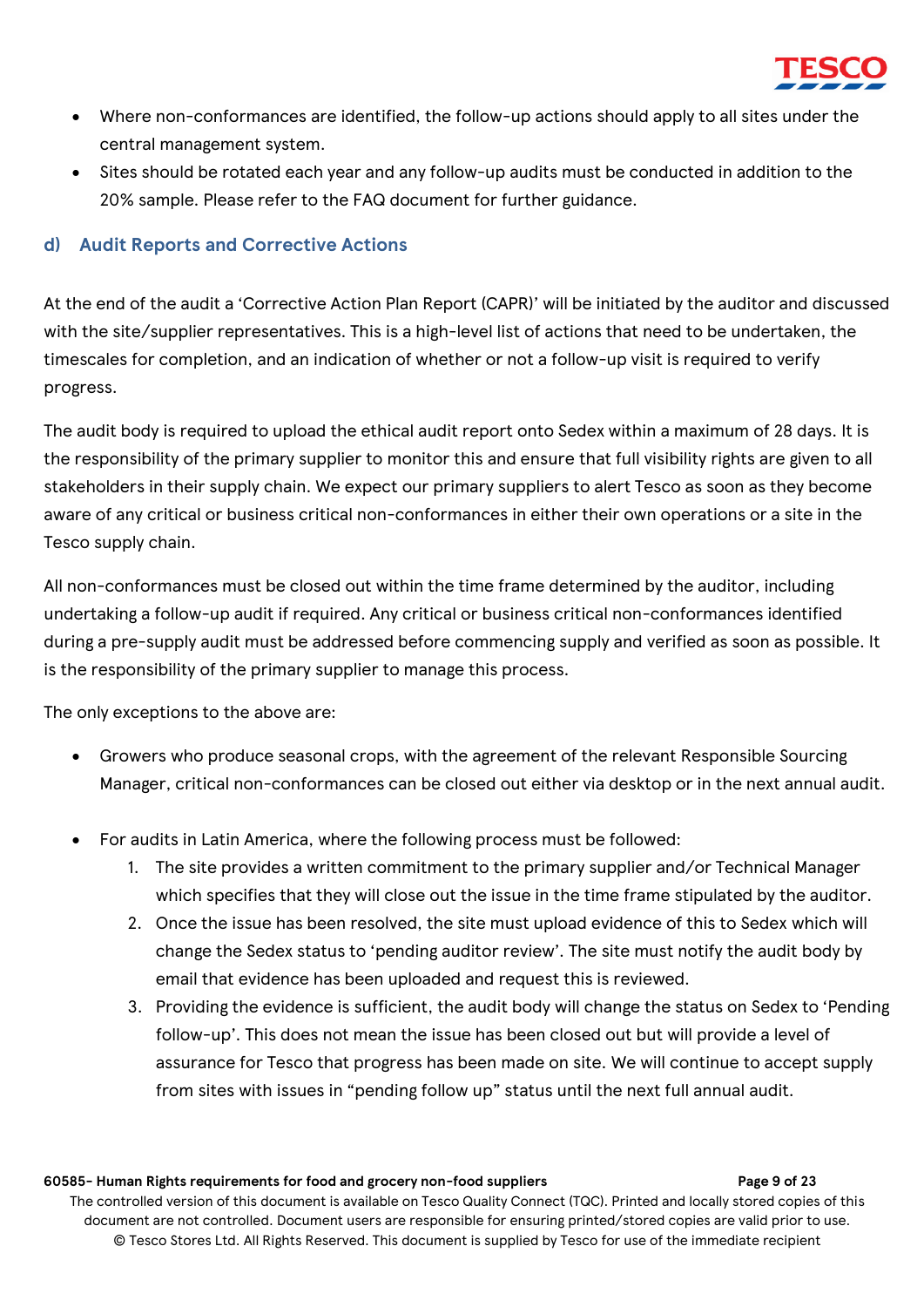

- Where non-conformances are identified, the follow-up actions should apply to all sites under the central management system.
- Sites should be rotated each year and any follow-up audits must be conducted in addition to the 20% sample. Please refer to the FAQ document for further guidance.

### <span id="page-8-0"></span>**d) Audit Reports and Corrective Actions**

At the end of the audit a 'Corrective Action Plan Report (CAPR)' will be initiated by the auditor and discussed with the site/supplier representatives. This is a high-level list of actions that need to be undertaken, the timescales for completion, and an indication of whether or not a follow-up visit is required to verify progress.

The audit body is required to upload the ethical audit report onto Sedex within a maximum of 28 days. It is the responsibility of the primary supplier to monitor this and ensure that full visibility rights are given to all stakeholders in their supply chain. We expect our primary suppliers to alert Tesco as soon as they become aware of any critical or business critical non-conformances in either their own operations or a site in the Tesco supply chain.

All non-conformances must be closed out within the time frame determined by the auditor, including undertaking a follow-up audit if required. Any critical or business critical non-conformances identified during a pre-supply audit must be addressed before commencing supply and verified as soon as possible. It is the responsibility of the primary supplier to manage this process.

The only exceptions to the above are:

- Growers who produce seasonal crops, with the agreement of the relevant Responsible Sourcing Manager, critical non-conformances can be closed out either via desktop or in the next annual audit.
- For audits in Latin America, where the following process must be followed:
	- 1. The site provides a written commitment to the primary supplier and/or Technical Manager which specifies that they will close out the issue in the time frame stipulated by the auditor.
	- 2. Once the issue has been resolved, the site must upload evidence of this to Sedex which will change the Sedex status to 'pending auditor review'. The site must notify the audit body by email that evidence has been uploaded and request this is reviewed.
	- 3. Providing the evidence is sufficient, the audit body will change the status on Sedex to 'Pending follow-up'. This does not mean the issue has been closed out but will provide a level of assurance for Tesco that progress has been made on site. We will continue to accept supply from sites with issues in "pending follow up" status until the next full annual audit.

#### **60585- Human Rights requirements for food and grocery non-food suppliers Page 9 of 23**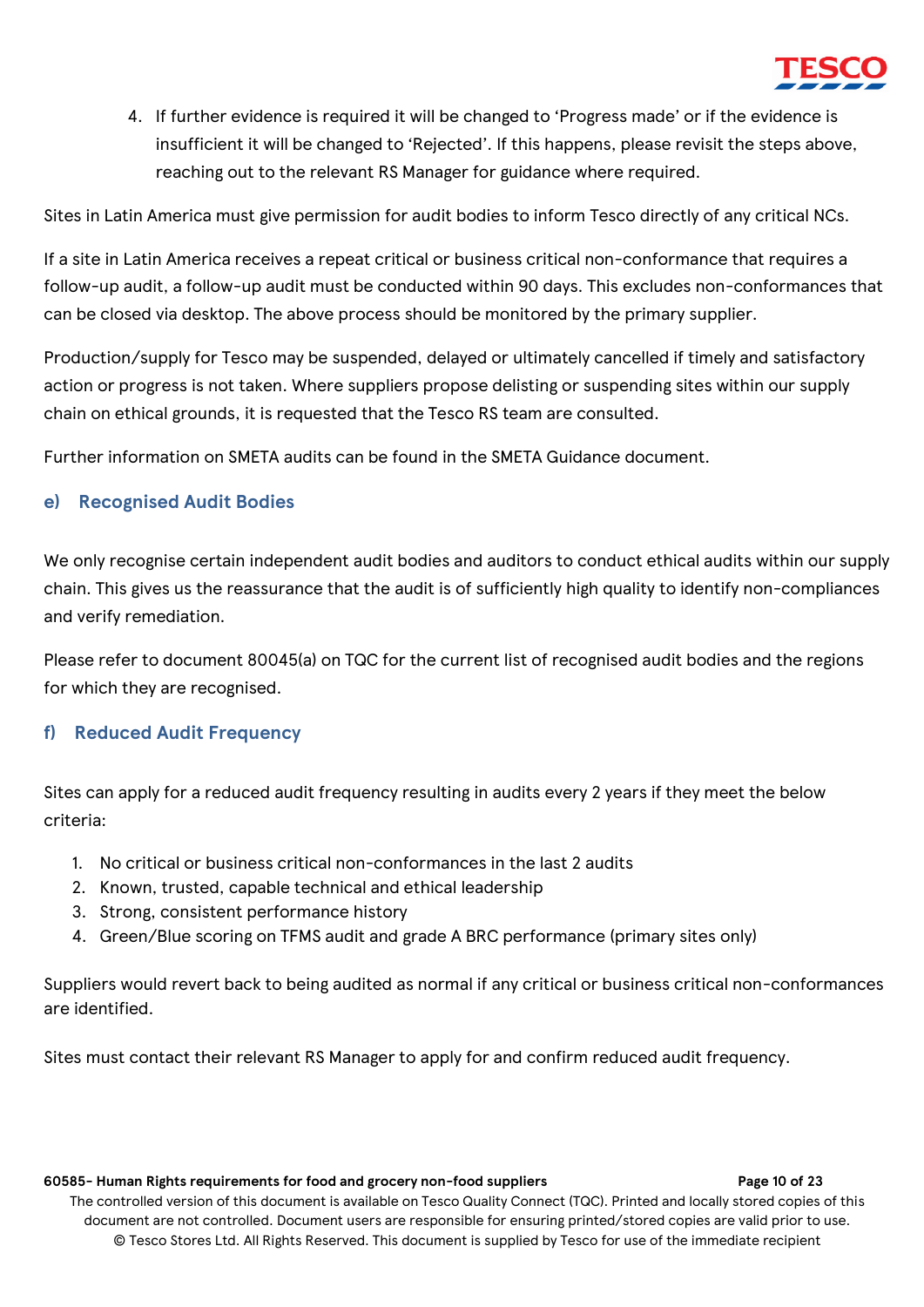

4. If further evidence is required it will be changed to 'Progress made' or if the evidence is insufficient it will be changed to 'Rejected'. If this happens, please revisit the steps above, reaching out to the relevant RS Manager for guidance where required.

Sites in Latin America must give permission for audit bodies to inform Tesco directly of any critical NCs.

If a site in Latin America receives a repeat critical or business critical non-conformance that requires a follow-up audit, a follow-up audit must be conducted within 90 days. This excludes non-conformances that can be closed via desktop. The above process should be monitored by the primary supplier.

Production/supply for Tesco may be suspended, delayed or ultimately cancelled if timely and satisfactory action or progress is not taken. Where suppliers propose delisting or suspending sites within our supply chain on ethical grounds, it is requested that the Tesco RS team are consulted.

Further information on SMETA audits can be found in the SMETA Guidance document.

#### <span id="page-9-0"></span>**e) Recognised Audit Bodies**

We only recognise certain independent audit bodies and auditors to conduct ethical audits within our supply chain. This gives us the reassurance that the audit is of sufficiently high quality to identify non-compliances and verify remediation.

Please refer to document 80045(a) on TQC for the current list of recognised audit bodies and the regions for which they are recognised.

#### <span id="page-9-1"></span>**f) Reduced Audit Frequency**

Sites can apply for a reduced audit frequency resulting in audits every 2 years if they meet the below criteria:

- 1. No critical or business critical non-conformances in the last 2 audits
- 2. Known, trusted, capable technical and ethical leadership
- 3. Strong, consistent performance history
- 4. Green/Blue scoring on TFMS audit and grade A BRC performance (primary sites only)

Suppliers would revert back to being audited as normal if any critical or business critical non-conformances are identified.

Sites must contact their relevant RS Manager to apply for and confirm reduced audit frequency.

#### **60585- Human Rights requirements for food and grocery non-food suppliers Page 10 of 23**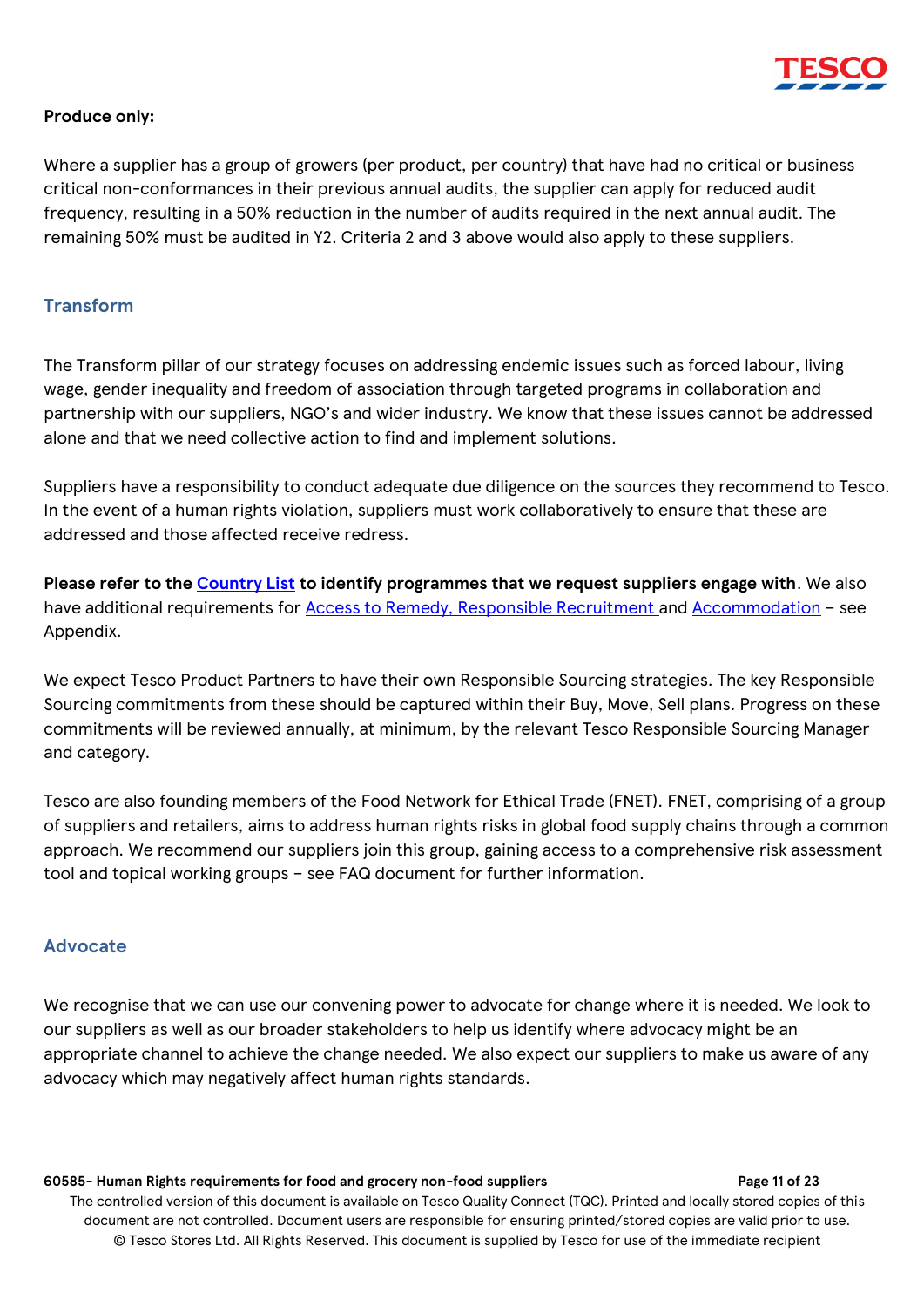

#### **Produce only:**

Where a supplier has a group of growers (per product, per country) that have had no critical or business critical non-conformances in their previous annual audits, the supplier can apply for reduced audit frequency, resulting in a 50% reduction in the number of audits required in the next annual audit. The remaining 50% must be audited in Y2. Criteria 2 and 3 above would also apply to these suppliers.

#### <span id="page-10-0"></span>**Transform**

The Transform pillar of our strategy focuses on addressing endemic issues such as forced labour, living wage, gender inequality and freedom of association through targeted programs in collaboration and partnership with our suppliers, NGO's and wider industry. We know that these issues cannot be addressed alone and that we need collective action to find and implement solutions.

Suppliers have a responsibility to conduct adequate due diligence on the sources they recommend to Tesco. In the event of a human rights violation, suppliers must work collaboratively to ensure that these are addressed and those affected receive redress.

**Please refer to the [Country List](#page-15-0) to identify programmes that we request suppliers engage with**. We also have additional requirements for **Access to Remedy, Responsible Recruitment** and [Accommodation](#page-14-0) - see Appendix.

We expect Tesco Product Partners to have their own Responsible Sourcing strategies. The key Responsible Sourcing commitments from these should be captured within their Buy, Move, Sell plans. Progress on these commitments will be reviewed annually, at minimum, by the relevant Tesco Responsible Sourcing Manager and category.

Tesco are also founding members of the Food Network for Ethical Trade (FNET). FNET, comprising of a group of suppliers and retailers, aims to address human rights risks in global food supply chains through a common approach. We recommend our suppliers join this group, gaining access to a comprehensive risk assessment tool and topical working groups – see FAQ document for further information.

#### <span id="page-10-1"></span>**Advocate**

We recognise that we can use our convening power to advocate for change where it is needed. We look to our suppliers as well as our broader stakeholders to help us identify where advocacy might be an appropriate channel to achieve the change needed. We also expect our suppliers to make us aware of any advocacy which may negatively affect human rights standards.

#### **60585- Human Rights requirements for food and grocery non-food suppliers Page 11 of 23**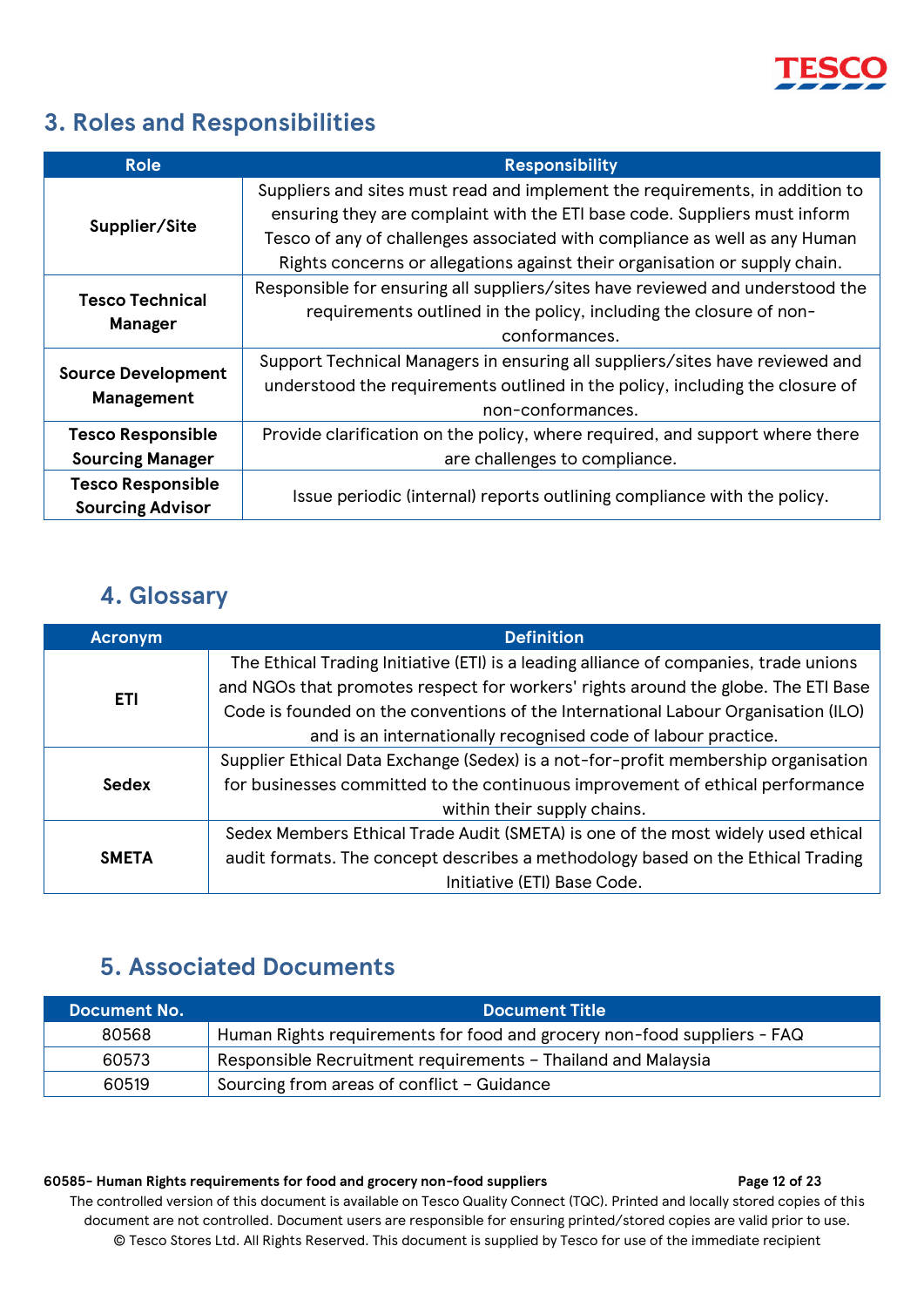

## <span id="page-11-0"></span>**3. Roles and Responsibilities**

| <b>Role</b>                                         | <b>Responsibility</b>                                                                                                                                                                                                                                                                                                 |  |  |
|-----------------------------------------------------|-----------------------------------------------------------------------------------------------------------------------------------------------------------------------------------------------------------------------------------------------------------------------------------------------------------------------|--|--|
| Supplier/Site                                       | Suppliers and sites must read and implement the requirements, in addition to<br>ensuring they are complaint with the ETI base code. Suppliers must inform<br>Tesco of any of challenges associated with compliance as well as any Human<br>Rights concerns or allegations against their organisation or supply chain. |  |  |
| <b>Tesco Technical</b><br><b>Manager</b>            | Responsible for ensuring all suppliers/sites have reviewed and understood the<br>requirements outlined in the policy, including the closure of non-<br>conformances.                                                                                                                                                  |  |  |
| <b>Source Development</b><br><b>Management</b>      | Support Technical Managers in ensuring all suppliers/sites have reviewed and<br>understood the requirements outlined in the policy, including the closure of<br>non-conformances.                                                                                                                                     |  |  |
| <b>Tesco Responsible</b>                            | Provide clarification on the policy, where required, and support where there                                                                                                                                                                                                                                          |  |  |
| <b>Sourcing Manager</b>                             | are challenges to compliance.                                                                                                                                                                                                                                                                                         |  |  |
| <b>Tesco Responsible</b><br><b>Sourcing Advisor</b> | Issue periodic (internal) reports outlining compliance with the policy.                                                                                                                                                                                                                                               |  |  |

## **4. Glossary**

<span id="page-11-1"></span>

| <b>Acronym</b> | <b>Definition</b>                                                                     |  |  |
|----------------|---------------------------------------------------------------------------------------|--|--|
|                | The Ethical Trading Initiative (ETI) is a leading alliance of companies, trade unions |  |  |
| <b>ETI</b>     | and NGOs that promotes respect for workers' rights around the globe. The ETI Base     |  |  |
|                | Code is founded on the conventions of the International Labour Organisation (ILO)     |  |  |
|                | and is an internationally recognised code of labour practice.                         |  |  |
|                | Supplier Ethical Data Exchange (Sedex) is a not-for-profit membership organisation    |  |  |
| Sedex          | for businesses committed to the continuous improvement of ethical performance         |  |  |
|                | within their supply chains.                                                           |  |  |
|                | Sedex Members Ethical Trade Audit (SMETA) is one of the most widely used ethical      |  |  |
| <b>SMETA</b>   | audit formats. The concept describes a methodology based on the Ethical Trading       |  |  |
|                | Initiative (ETI) Base Code.                                                           |  |  |

## <span id="page-11-2"></span>**5. Associated Documents**

| <b>Document No.</b> | <b>Document Title</b>                                                   |
|---------------------|-------------------------------------------------------------------------|
| 80568               | Human Rights requirements for food and grocery non-food suppliers - FAQ |
| 60573               | Responsible Recruitment requirements - Thailand and Malaysia            |
| 60519               | Sourcing from areas of conflict - Guidance                              |

#### **60585- Human Rights requirements for food and grocery non-food suppliers Page 12 of 23**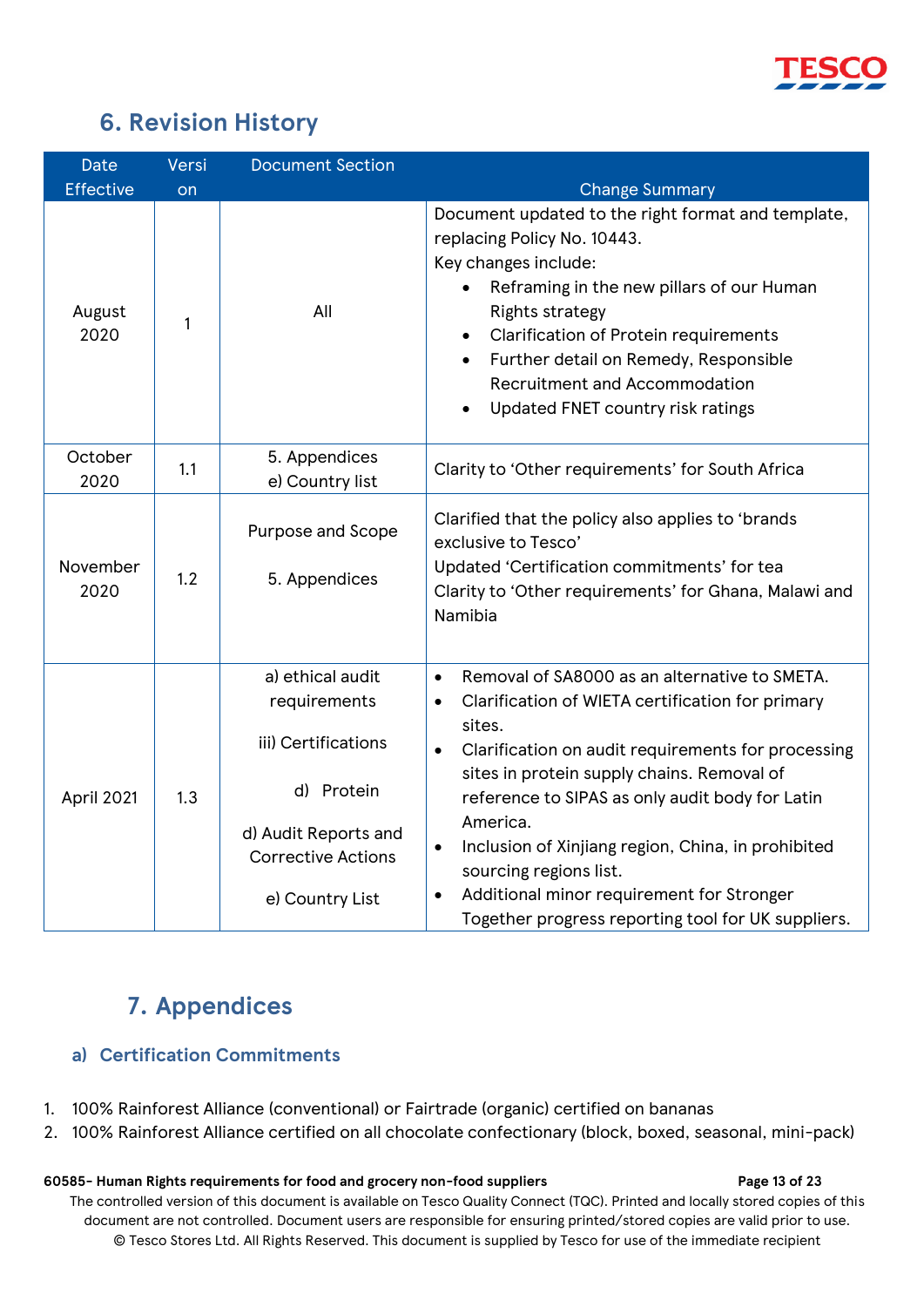

## **6. Revision History**

<span id="page-12-0"></span>

| <b>Date</b>      | Versi | <b>Document Section</b>                                                                                                                       |                                                                                                                                                                                                                                                                                                                                                                                                                                                                                                                       |
|------------------|-------|-----------------------------------------------------------------------------------------------------------------------------------------------|-----------------------------------------------------------------------------------------------------------------------------------------------------------------------------------------------------------------------------------------------------------------------------------------------------------------------------------------------------------------------------------------------------------------------------------------------------------------------------------------------------------------------|
| <b>Effective</b> | on    |                                                                                                                                               | <b>Change Summary</b>                                                                                                                                                                                                                                                                                                                                                                                                                                                                                                 |
| August<br>2020   | 1     | All                                                                                                                                           | Document updated to the right format and template,<br>replacing Policy No. 10443.<br>Key changes include:<br>Reframing in the new pillars of our Human<br><b>Rights strategy</b><br><b>Clarification of Protein requirements</b><br>Further detail on Remedy, Responsible<br>$\bullet$<br><b>Recruitment and Accommodation</b><br>Updated FNET country risk ratings                                                                                                                                                   |
| October<br>2020  | 1.1   | 5. Appendices<br>e) Country list                                                                                                              | Clarity to 'Other requirements' for South Africa                                                                                                                                                                                                                                                                                                                                                                                                                                                                      |
| November<br>2020 | 1.2   | Purpose and Scope<br>5. Appendices                                                                                                            | Clarified that the policy also applies to 'brands<br>exclusive to Tesco'<br>Updated 'Certification commitments' for tea<br>Clarity to 'Other requirements' for Ghana, Malawi and<br>Namibia                                                                                                                                                                                                                                                                                                                           |
| April 2021       | 1.3   | a) ethical audit<br>requirements<br>iii) Certifications<br>d) Protein<br>d) Audit Reports and<br><b>Corrective Actions</b><br>e) Country List | Removal of SA8000 as an alternative to SMETA.<br>$\bullet$<br>Clarification of WIETA certification for primary<br>$\bullet$<br>sites.<br>Clarification on audit requirements for processing<br>$\bullet$<br>sites in protein supply chains. Removal of<br>reference to SIPAS as only audit body for Latin<br>America.<br>Inclusion of Xinjiang region, China, in prohibited<br>sourcing regions list.<br>Additional minor requirement for Stronger<br>$\bullet$<br>Together progress reporting tool for UK suppliers. |

## **7. Appendices**

### <span id="page-12-2"></span><span id="page-12-1"></span>**a) Certification Commitments**

- 1. 100% Rainforest Alliance (conventional) or Fairtrade (organic) certified on bananas
- 2. 100% Rainforest Alliance certified on all chocolate confectionary (block, boxed, seasonal, mini-pack)

#### **60585- Human Rights requirements for food and grocery non-food suppliers Page 13 of 23**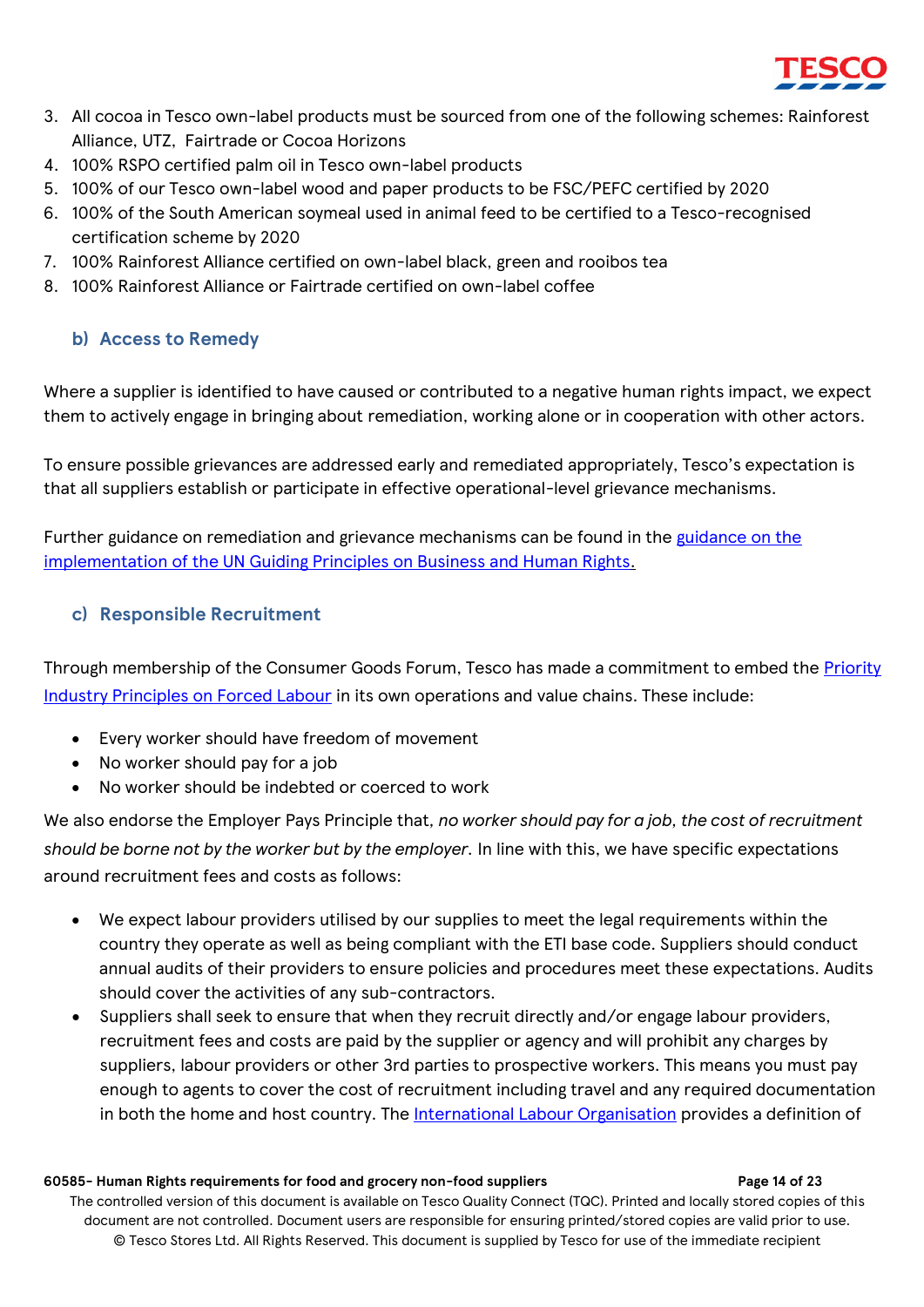

- 3. All cocoa in Tesco own-label products must be sourced from one of the following schemes: Rainforest Alliance, UTZ, Fairtrade or Cocoa Horizons
- 4. 100% RSPO certified palm oil in Tesco own-label products
- 5. 100% of our Tesco own-label wood and paper products to be FSC/PEFC certified by 2020
- 6. 100% of the South American soymeal used in animal feed to be certified to a Tesco-recognised certification scheme by 2020
- 7. 100% Rainforest Alliance certified on own-label black, green and rooibos tea
- 8. 100% Rainforest Alliance or Fairtrade certified on own-label coffee

### <span id="page-13-0"></span>**b) Access to Remedy**

Where a supplier is identified to have caused or contributed to a negative human rights impact, we expect them to actively engage in bringing about remediation, working alone or in cooperation with other actors.

To ensure possible grievances are addressed early and remediated appropriately, Tesco's expectation is that all suppliers establish or participate in effective operational-level grievance mechanisms.

Further guidance on remediation and grievance mechanisms can be found in the [guidance on the](https://www.ohchr.org/Documents/Publications/GuidingPrinciplesBusinessHR_EN.pdf)  [implementation of the UN Guiding Principles on Business and Human Rights.](https://www.ohchr.org/Documents/Publications/GuidingPrinciplesBusinessHR_EN.pdf)

### <span id="page-13-1"></span>**c) Responsible Recruitment**

Through membership of the Consumer Goods Forum, Tesco has made a commitment to embed the Priority [Industry Principles on Forced Labour](https://www.theconsumergoodsforum.com/social-sustainability/human-rights-ending-forced-labour/about/mission/) in its own operations and value chains. These include:

- Every worker should have freedom of movement
- No worker should pay for a job
- No worker should be indebted or coerced to work

We also endorse the Employer Pays Principle that*, no worker should pay for a job, the cost of recruitment should be borne not by the worker but by the employer.* In line with this, we have specific expectations around recruitment fees and costs as follows:

- We expect labour providers utilised by our supplies to meet the legal requirements within the country they operate as well as being compliant with the ETI base code. Suppliers should conduct annual audits of their providers to ensure policies and procedures meet these expectations. Audits should cover the activities of any sub-contractors.
- Suppliers shall seek to ensure that when they recruit directly and/or engage labour providers, recruitment fees and costs are paid by the supplier or agency and will prohibit any charges by suppliers, labour providers or other 3rd parties to prospective workers. This means you must pay enough to agents to cover the cost of recruitment including travel and any required documentation in both the home and host country. The [International Labour Organisation](https://www.ilo.org/wcmsp5/groups/public/---ed_protect/---protrav/---migrant/documents/publication/wcms_536755.pdf) provides a definition of

#### **60585- Human Rights requirements for food and grocery non-food suppliers Page 14 of 23**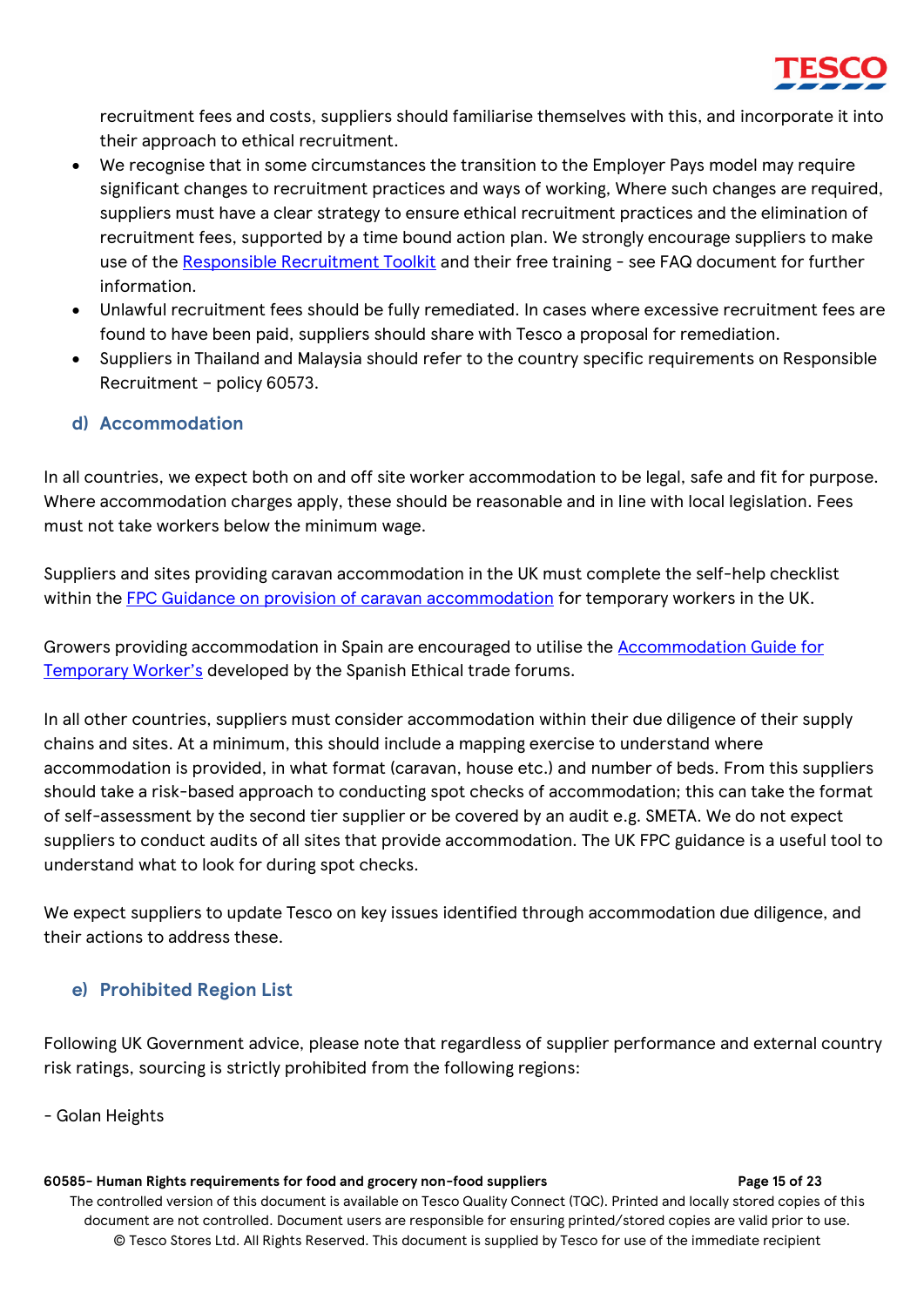

recruitment fees and costs, suppliers should familiarise themselves with this, and incorporate it into their approach to ethical recruitment.

- We recognise that in some circumstances the transition to the Employer Pays model may require significant changes to recruitment practices and ways of working, Where such changes are required, suppliers must have a clear strategy to ensure ethical recruitment practices and the elimination of recruitment fees, supported by a time bound action plan. We strongly encourage suppliers to make use of the [Responsible Recruitment Toolkit](https://responsiblerecruitmenttoolkit.org/) and their free training - see FAQ document for further information.
- Unlawful recruitment fees should be fully remediated. In cases where excessive recruitment fees are found to have been paid, suppliers should share with Tesco a proposal for remediation.
- Suppliers in Thailand and Malaysia should refer to the country specific requirements on Responsible Recruitment – policy 60573.

### <span id="page-14-0"></span>**d) Accommodation**

In all countries, we expect both on and off site worker accommodation to be legal, safe and fit for purpose. Where accommodation charges apply, these should be reasonable and in line with local legislation. Fees must not take workers below the minimum wage.

Suppliers and sites providing caravan accommodation in the UK must complete the self-help checklist within the [FPC Guidance on provision of caravan accommodation](https://freshproduce.org.uk/advice/guidance-on-provision-of-caravan-accommodation-for-temporary-workers-in-the-uk) for temporary workers in the UK.

Growers providing accommodation in Spain are encouraged to utilise the [Accommodation Guide for](https://www.foroscomercioetico.com/en/the-accommodation-guide-for-temporary-workers-available-for-public-consultation/)  [Temporary Worker's](https://www.foroscomercioetico.com/en/the-accommodation-guide-for-temporary-workers-available-for-public-consultation/) developed by the Spanish Ethical trade forums.

In all other countries, suppliers must consider accommodation within their due diligence of their supply chains and sites. At a minimum, this should include a mapping exercise to understand where accommodation is provided, in what format (caravan, house etc.) and number of beds. From this suppliers should take a risk-based approach to conducting spot checks of accommodation; this can take the format of self-assessment by the second tier supplier or be covered by an audit e.g. SMETA. We do not expect suppliers to conduct audits of all sites that provide accommodation. The UK FPC guidance is a useful tool to understand what to look for during spot checks.

We expect suppliers to update Tesco on key issues identified through accommodation due diligence, and their actions to address these.

#### <span id="page-14-1"></span>**e) Prohibited Region List**

Following UK Government advice, please note that regardless of supplier performance and external country risk ratings, sourcing is strictly prohibited from the following regions:

- Golan Heights

#### **60585- Human Rights requirements for food and grocery non-food suppliers Page 15 of 23**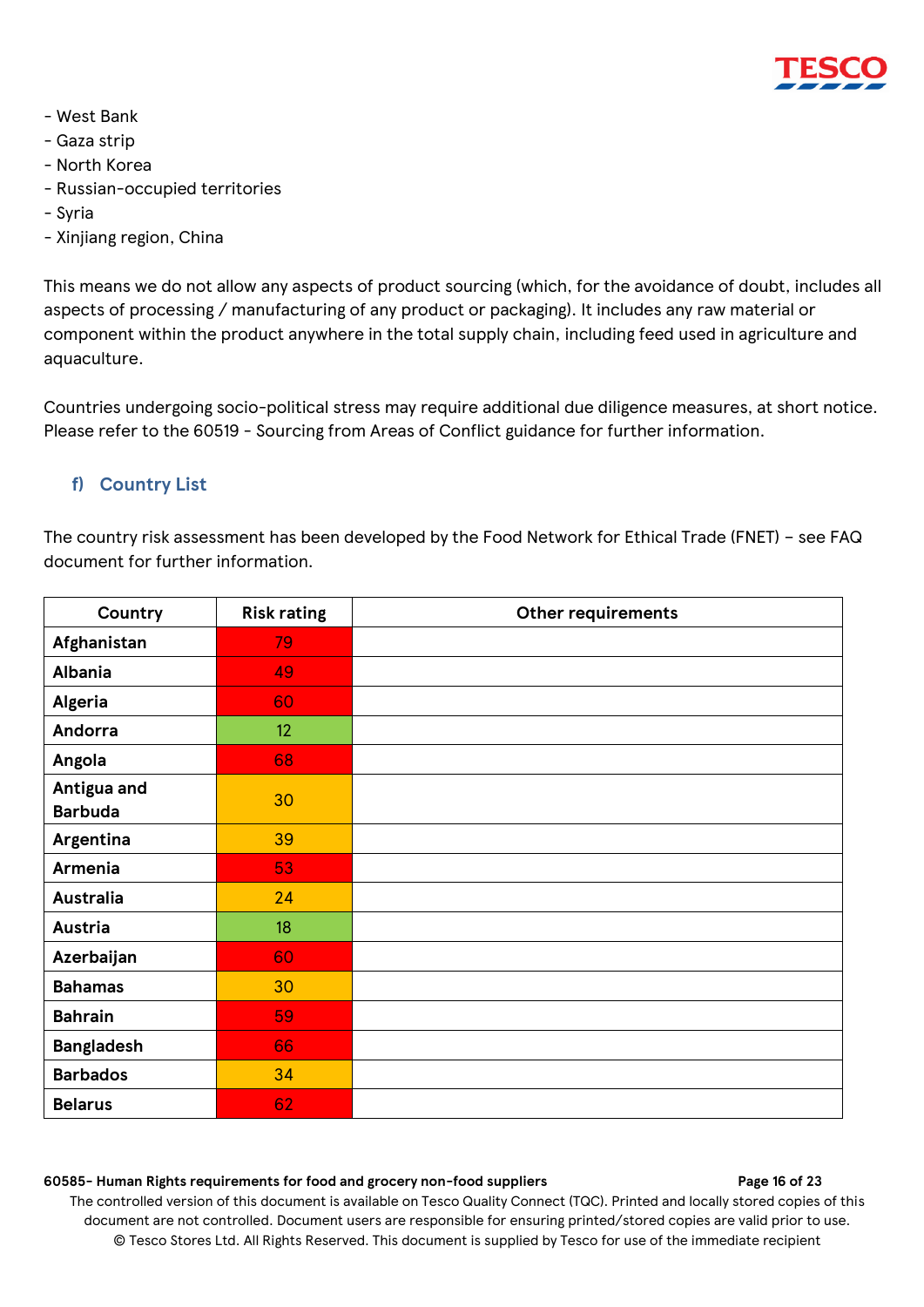

- West Bank
- Gaza strip
- North Korea
- Russian-occupied territories
- Syria
- Xinjiang region, China

This means we do not allow any aspects of product sourcing (which, for the avoidance of doubt, includes all aspects of processing / manufacturing of any product or packaging). It includes any raw material or component within the product anywhere in the total supply chain, including feed used in agriculture and aquaculture.

Countries undergoing socio-political stress may require additional due diligence measures, at short notice. Please refer to the 60519 - Sourcing from Areas of Conflict guidance for further information.

### <span id="page-15-0"></span>**f) Country List**

The country risk assessment has been developed by the Food Network for Ethical Trade (FNET) – see FAQ document for further information.

| Country                       | <b>Risk rating</b> | <b>Other requirements</b> |
|-------------------------------|--------------------|---------------------------|
| Afghanistan                   | 79                 |                           |
| <b>Albania</b>                | 49                 |                           |
| Algeria                       | 60                 |                           |
| Andorra                       | 12                 |                           |
| Angola                        | 68                 |                           |
| Antigua and<br><b>Barbuda</b> | 30                 |                           |
| Argentina                     | 39                 |                           |
| Armenia                       | 53                 |                           |
| <b>Australia</b>              | 24                 |                           |
| Austria                       | 18                 |                           |
| Azerbaijan                    | 60                 |                           |
| <b>Bahamas</b>                | 30                 |                           |
| <b>Bahrain</b>                | 59                 |                           |
| <b>Bangladesh</b>             | 66                 |                           |
| <b>Barbados</b>               | 34                 |                           |
| <b>Belarus</b>                | 62                 |                           |

#### **60585- Human Rights requirements for food and grocery non-food suppliers Page 16 of 23**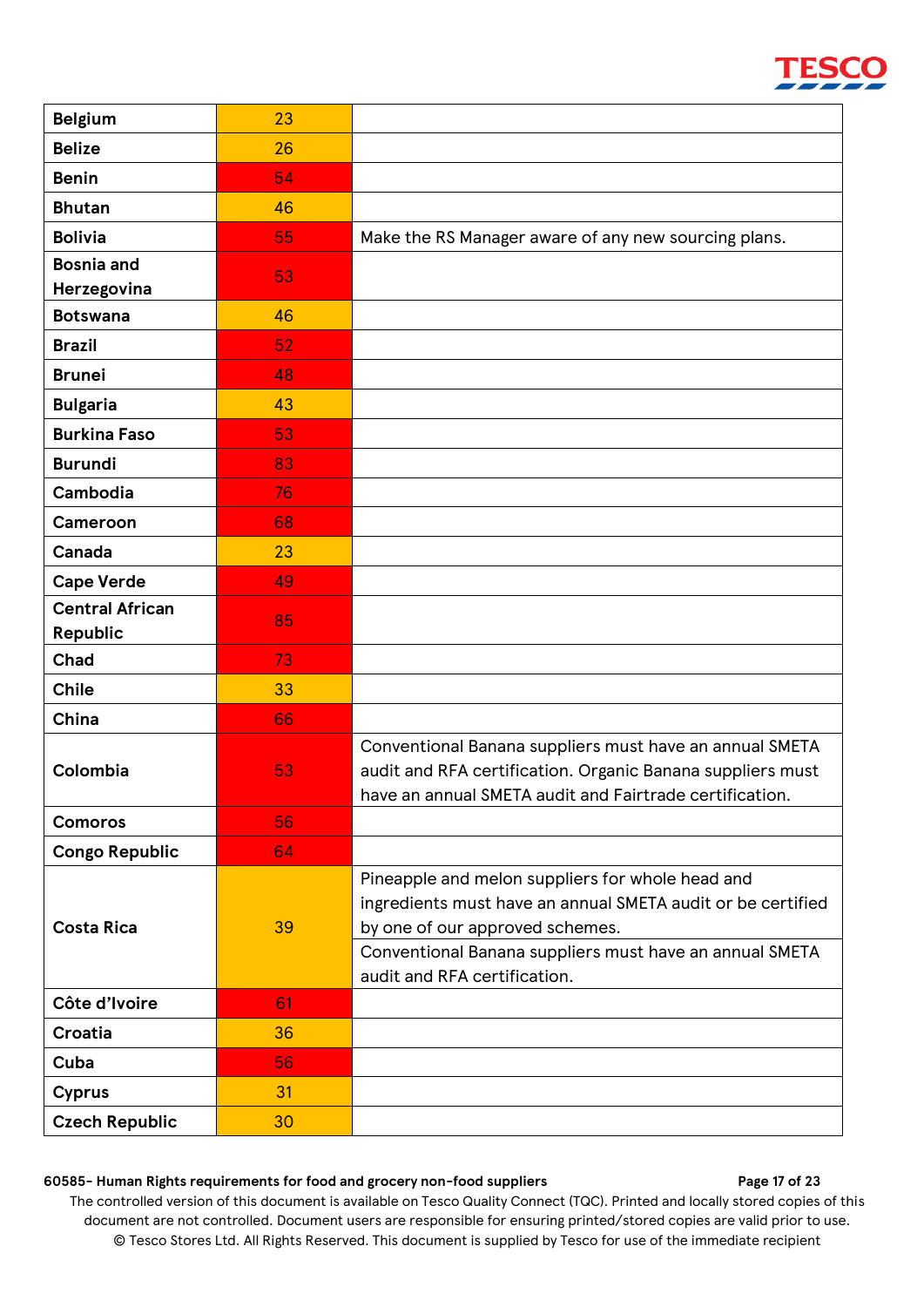| <b>Belgium</b>         | 23 |                                                             |
|------------------------|----|-------------------------------------------------------------|
| <b>Belize</b>          | 26 |                                                             |
| <b>Benin</b>           | 54 |                                                             |
| <b>Bhutan</b>          | 46 |                                                             |
| <b>Bolivia</b>         | 55 | Make the RS Manager aware of any new sourcing plans.        |
| <b>Bosnia and</b>      | 53 |                                                             |
| Herzegovina            |    |                                                             |
| <b>Botswana</b>        | 46 |                                                             |
| <b>Brazil</b>          | 52 |                                                             |
| <b>Brunei</b>          | 48 |                                                             |
| <b>Bulgaria</b>        | 43 |                                                             |
| <b>Burkina Faso</b>    | 53 |                                                             |
| <b>Burundi</b>         | 83 |                                                             |
| Cambodia               | 76 |                                                             |
| Cameroon               | 68 |                                                             |
| Canada                 | 23 |                                                             |
| <b>Cape Verde</b>      | 49 |                                                             |
| <b>Central African</b> | 85 |                                                             |
| Republic               |    |                                                             |
| Chad                   | 73 |                                                             |
| <b>Chile</b>           | 33 |                                                             |
| China                  | 66 |                                                             |
|                        |    | Conventional Banana suppliers must have an annual SMETA     |
| Colombia               | 53 | audit and RFA certification. Organic Banana suppliers must  |
| <b>Comoros</b>         | 56 | have an annual SMETA audit and Fairtrade certification.     |
| <b>Congo Republic</b>  | 64 |                                                             |
|                        |    | Pineapple and melon suppliers for whole head and            |
|                        |    | ingredients must have an annual SMETA audit or be certified |
| <b>Costa Rica</b>      | 39 | by one of our approved schemes.                             |
|                        |    | Conventional Banana suppliers must have an annual SMETA     |
|                        |    | audit and RFA certification.                                |
| Côte d'Ivoire          | 61 |                                                             |
| <b>Croatia</b>         | 36 |                                                             |
| Cuba                   | 56 |                                                             |
| <b>Cyprus</b>          | 31 |                                                             |
| <b>Czech Republic</b>  | 30 |                                                             |

#### **60585- Human Rights requirements for food and grocery non-food suppliers Page 17 of 23**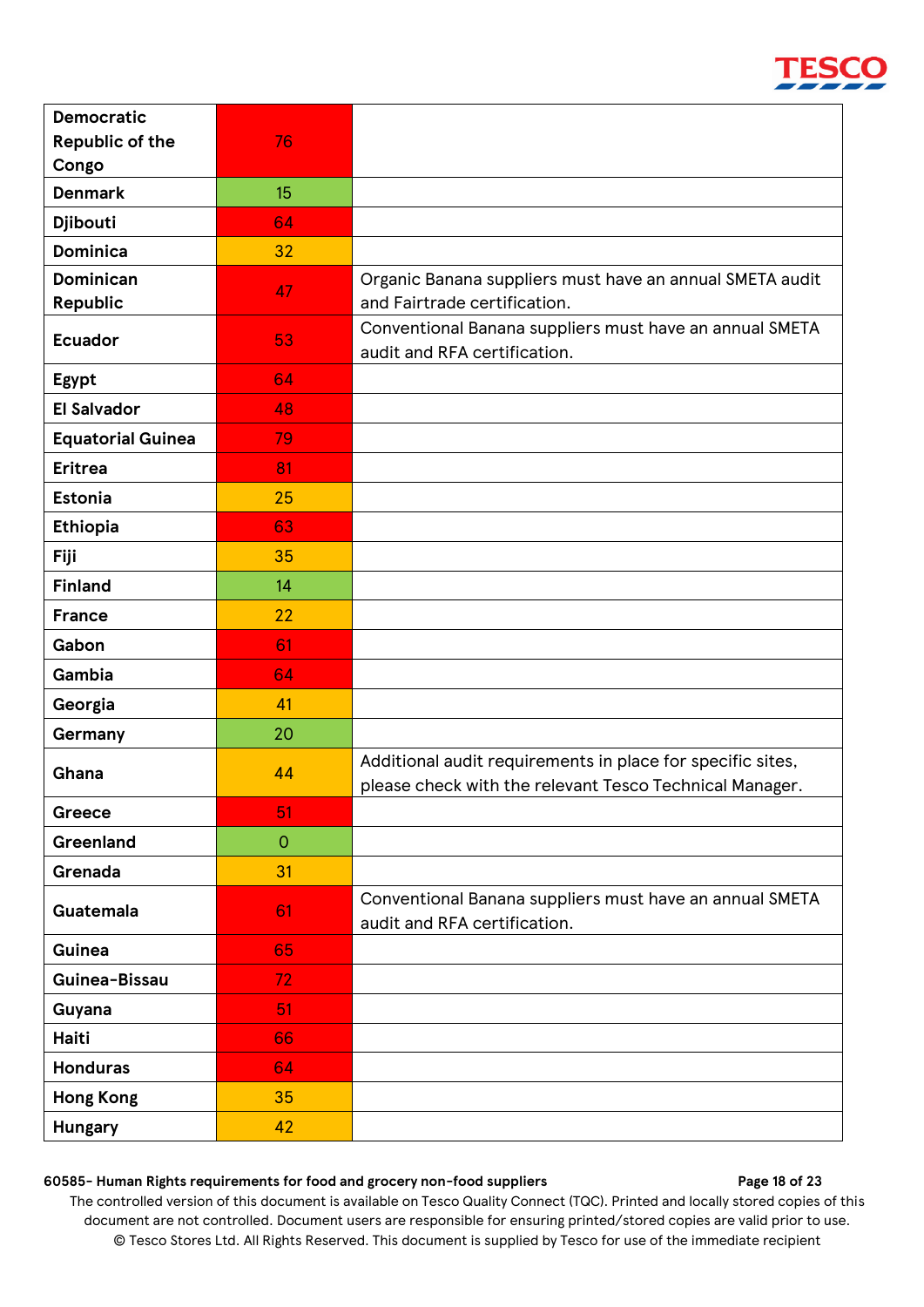| <b>Democratic</b>            |                |                                                                                                                       |
|------------------------------|----------------|-----------------------------------------------------------------------------------------------------------------------|
| <b>Republic of the</b>       | 76             |                                                                                                                       |
| Congo                        |                |                                                                                                                       |
| <b>Denmark</b>               | 15             |                                                                                                                       |
| Djibouti                     | 64             |                                                                                                                       |
| <b>Dominica</b>              | 32             |                                                                                                                       |
| <b>Dominican</b><br>Republic | 47             | Organic Banana suppliers must have an annual SMETA audit<br>and Fairtrade certification.                              |
| <b>Ecuador</b>               | 53             | Conventional Banana suppliers must have an annual SMETA<br>audit and RFA certification.                               |
| Egypt                        | 64             |                                                                                                                       |
| <b>El Salvador</b>           | 48             |                                                                                                                       |
| <b>Equatorial Guinea</b>     | 79             |                                                                                                                       |
| <b>Eritrea</b>               | 81             |                                                                                                                       |
| <b>Estonia</b>               | 25             |                                                                                                                       |
| <b>Ethiopia</b>              | 63             |                                                                                                                       |
| Fiji                         | 35             |                                                                                                                       |
| <b>Finland</b>               | 14             |                                                                                                                       |
| <b>France</b>                | 22             |                                                                                                                       |
| Gabon                        | 61             |                                                                                                                       |
| Gambia                       | 64             |                                                                                                                       |
| Georgia                      | 41             |                                                                                                                       |
| Germany                      | 20             |                                                                                                                       |
| Ghana                        | 44             | Additional audit requirements in place for specific sites,<br>please check with the relevant Tesco Technical Manager. |
| Greece                       | 51             |                                                                                                                       |
| Greenland                    | $\overline{O}$ |                                                                                                                       |
| Grenada                      | 31             |                                                                                                                       |
| Guatemala                    | 61             | Conventional Banana suppliers must have an annual SMETA<br>audit and RFA certification.                               |
| Guinea                       | 65             |                                                                                                                       |
| Guinea-Bissau                | 72             |                                                                                                                       |
| Guyana                       | 51             |                                                                                                                       |
| Haiti                        | 66             |                                                                                                                       |
| <b>Honduras</b>              | 64             |                                                                                                                       |
| <b>Hong Kong</b>             | 35             |                                                                                                                       |
| <b>Hungary</b>               | 42             |                                                                                                                       |

#### **60585- Human Rights requirements for food and grocery non-food suppliers Page 18 of 23**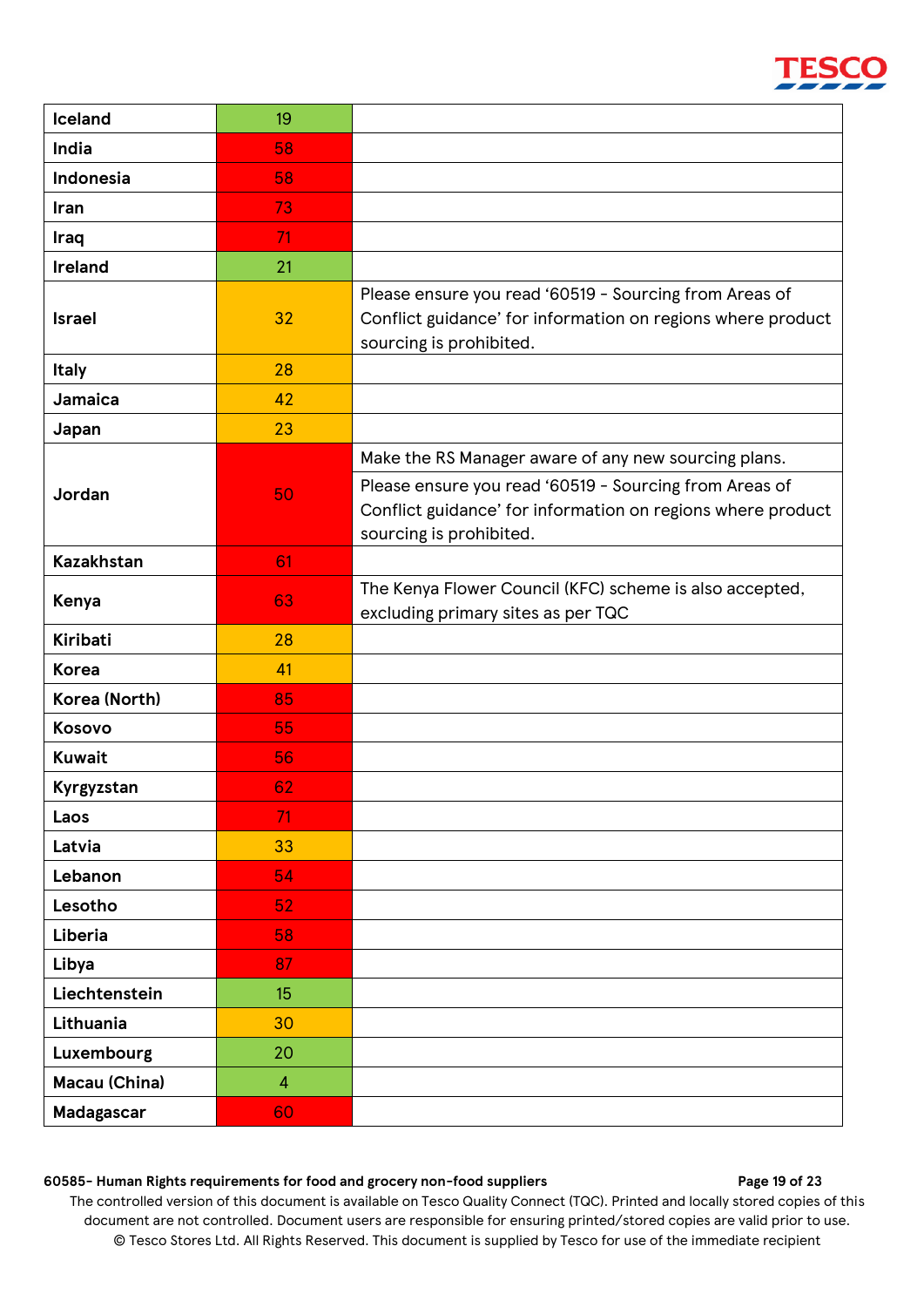| Iceland           | 19             |                                                                                                                                                                                                          |
|-------------------|----------------|----------------------------------------------------------------------------------------------------------------------------------------------------------------------------------------------------------|
| India             | 58             |                                                                                                                                                                                                          |
| Indonesia         | 58             |                                                                                                                                                                                                          |
| Iran              | 73             |                                                                                                                                                                                                          |
| Iraq              | 71             |                                                                                                                                                                                                          |
| <b>Ireland</b>    | 21             |                                                                                                                                                                                                          |
| <b>Israel</b>     | 32             | Please ensure you read '60519 - Sourcing from Areas of<br>Conflict guidance' for information on regions where product<br>sourcing is prohibited.                                                         |
| <b>Italy</b>      | 28             |                                                                                                                                                                                                          |
| Jamaica           | 42             |                                                                                                                                                                                                          |
| Japan             | 23             |                                                                                                                                                                                                          |
| Jordan            | 50             | Make the RS Manager aware of any new sourcing plans.<br>Please ensure you read '60519 - Sourcing from Areas of<br>Conflict guidance' for information on regions where product<br>sourcing is prohibited. |
| <b>Kazakhstan</b> | 61             |                                                                                                                                                                                                          |
| Kenya             | 63             | The Kenya Flower Council (KFC) scheme is also accepted,<br>excluding primary sites as per TQC                                                                                                            |
| <b>Kiribati</b>   | 28             |                                                                                                                                                                                                          |
| <b>Korea</b>      | 41             |                                                                                                                                                                                                          |
| Korea (North)     | 85             |                                                                                                                                                                                                          |
| Kosovo            | 55             |                                                                                                                                                                                                          |
| <b>Kuwait</b>     | 56             |                                                                                                                                                                                                          |
| Kyrgyzstan        | 62             |                                                                                                                                                                                                          |
| Laos              | 71             |                                                                                                                                                                                                          |
| Latvia            | 33             |                                                                                                                                                                                                          |
| Lebanon           | 54             |                                                                                                                                                                                                          |
| Lesotho           | 52             |                                                                                                                                                                                                          |
| Liberia           | 58             |                                                                                                                                                                                                          |
| Libya             | 87             |                                                                                                                                                                                                          |
| Liechtenstein     | 15             |                                                                                                                                                                                                          |
| Lithuania         | 30             |                                                                                                                                                                                                          |
| Luxembourg        | 20             |                                                                                                                                                                                                          |
| Macau (China)     | $\overline{4}$ |                                                                                                                                                                                                          |
| <b>Madagascar</b> | 60             |                                                                                                                                                                                                          |

#### **60585- Human Rights requirements for food and grocery non-food suppliers Page 19 of 23**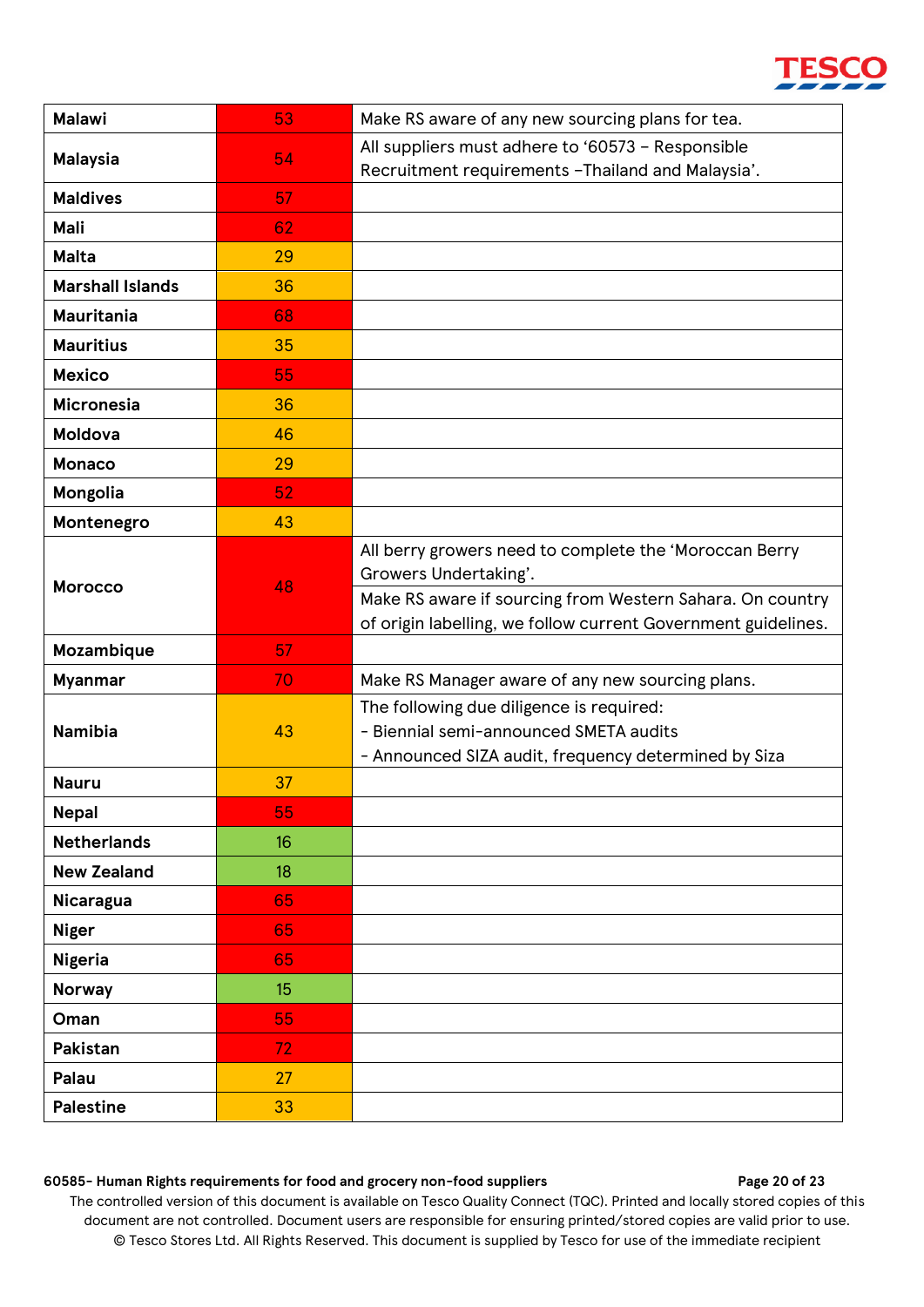| <b>Malawi</b>           | 53 | Make RS aware of any new sourcing plans for tea.                                                                                                                                                              |
|-------------------------|----|---------------------------------------------------------------------------------------------------------------------------------------------------------------------------------------------------------------|
| <b>Malaysia</b>         | 54 | All suppliers must adhere to '60573 - Responsible                                                                                                                                                             |
|                         |    | Recruitment requirements - Thailand and Malaysia'.                                                                                                                                                            |
| <b>Maldives</b>         | 57 |                                                                                                                                                                                                               |
| Mali                    | 62 |                                                                                                                                                                                                               |
| <b>Malta</b>            | 29 |                                                                                                                                                                                                               |
| <b>Marshall Islands</b> | 36 |                                                                                                                                                                                                               |
| <b>Mauritania</b>       | 68 |                                                                                                                                                                                                               |
| <b>Mauritius</b>        | 35 |                                                                                                                                                                                                               |
| <b>Mexico</b>           | 55 |                                                                                                                                                                                                               |
| <b>Micronesia</b>       | 36 |                                                                                                                                                                                                               |
| <b>Moldova</b>          | 46 |                                                                                                                                                                                                               |
| <b>Monaco</b>           | 29 |                                                                                                                                                                                                               |
| Mongolia                | 52 |                                                                                                                                                                                                               |
| Montenegro              | 43 |                                                                                                                                                                                                               |
| <b>Morocco</b>          | 48 | All berry growers need to complete the 'Moroccan Berry<br>Growers Undertaking'.<br>Make RS aware if sourcing from Western Sahara. On country<br>of origin labelling, we follow current Government guidelines. |
| Mozambique              | 57 |                                                                                                                                                                                                               |
| <b>Myanmar</b>          | 70 | Make RS Manager aware of any new sourcing plans.                                                                                                                                                              |
| <b>Namibia</b>          | 43 | The following due diligence is required:<br>- Biennial semi-announced SMETA audits<br>- Announced SIZA audit, frequency determined by Siza                                                                    |
| <b>Nauru</b>            | 37 |                                                                                                                                                                                                               |
| <b>Nepal</b>            | 55 |                                                                                                                                                                                                               |
| <b>Netherlands</b>      | 16 |                                                                                                                                                                                                               |
| <b>New Zealand</b>      | 18 |                                                                                                                                                                                                               |
| Nicaragua               | 65 |                                                                                                                                                                                                               |
| <b>Niger</b>            | 65 |                                                                                                                                                                                                               |
| <b>Nigeria</b>          | 65 |                                                                                                                                                                                                               |
| <b>Norway</b>           | 15 |                                                                                                                                                                                                               |
| Oman                    | 55 |                                                                                                                                                                                                               |
| Pakistan                | 72 |                                                                                                                                                                                                               |
| Palau                   | 27 |                                                                                                                                                                                                               |
| <b>Palestine</b>        | 33 |                                                                                                                                                                                                               |

#### **60585- Human Rights requirements for food and grocery non-food suppliers Page 20 of 23**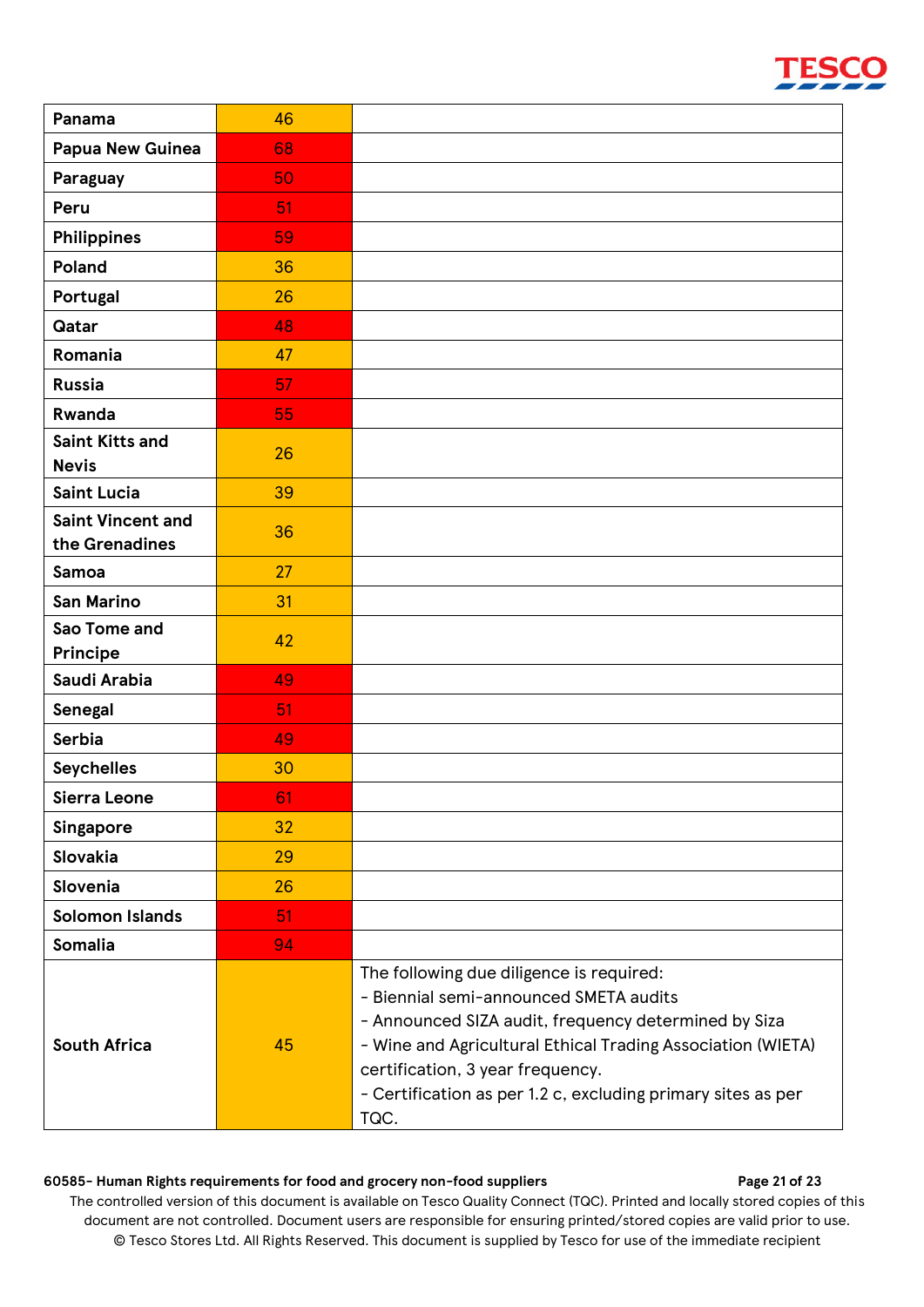

| Panama                   | 46 |                                                                                                                                                                                                                                                                                                                       |
|--------------------------|----|-----------------------------------------------------------------------------------------------------------------------------------------------------------------------------------------------------------------------------------------------------------------------------------------------------------------------|
| <b>Papua New Guinea</b>  | 68 |                                                                                                                                                                                                                                                                                                                       |
| Paraguay                 | 50 |                                                                                                                                                                                                                                                                                                                       |
| Peru                     | 51 |                                                                                                                                                                                                                                                                                                                       |
| Philippines              | 59 |                                                                                                                                                                                                                                                                                                                       |
| Poland                   | 36 |                                                                                                                                                                                                                                                                                                                       |
| Portugal                 | 26 |                                                                                                                                                                                                                                                                                                                       |
| <b>Qatar</b>             | 48 |                                                                                                                                                                                                                                                                                                                       |
| Romania                  | 47 |                                                                                                                                                                                                                                                                                                                       |
| <b>Russia</b>            | 57 |                                                                                                                                                                                                                                                                                                                       |
| <b>Rwanda</b>            | 55 |                                                                                                                                                                                                                                                                                                                       |
| <b>Saint Kitts and</b>   | 26 |                                                                                                                                                                                                                                                                                                                       |
| <b>Nevis</b>             |    |                                                                                                                                                                                                                                                                                                                       |
| <b>Saint Lucia</b>       | 39 |                                                                                                                                                                                                                                                                                                                       |
| <b>Saint Vincent and</b> | 36 |                                                                                                                                                                                                                                                                                                                       |
| the Grenadines<br>Samoa  | 27 |                                                                                                                                                                                                                                                                                                                       |
| <b>San Marino</b>        | 31 |                                                                                                                                                                                                                                                                                                                       |
| Sao Tome and             |    |                                                                                                                                                                                                                                                                                                                       |
| Principe                 | 42 |                                                                                                                                                                                                                                                                                                                       |
| Saudi Arabia             | 49 |                                                                                                                                                                                                                                                                                                                       |
| Senegal                  | 51 |                                                                                                                                                                                                                                                                                                                       |
| <b>Serbia</b>            | 49 |                                                                                                                                                                                                                                                                                                                       |
| <b>Seychelles</b>        | 30 |                                                                                                                                                                                                                                                                                                                       |
| Sierra Leone             | 61 |                                                                                                                                                                                                                                                                                                                       |
| Singapore                | 32 |                                                                                                                                                                                                                                                                                                                       |
| Slovakia                 | 29 |                                                                                                                                                                                                                                                                                                                       |
| Slovenia                 | 26 |                                                                                                                                                                                                                                                                                                                       |
| <b>Solomon Islands</b>   | 51 |                                                                                                                                                                                                                                                                                                                       |
| Somalia                  | 94 |                                                                                                                                                                                                                                                                                                                       |
| <b>South Africa</b>      | 45 | The following due diligence is required:<br>- Biennial semi-announced SMETA audits<br>- Announced SIZA audit, frequency determined by Siza<br>- Wine and Agricultural Ethical Trading Association (WIETA)<br>certification, 3 year frequency.<br>- Certification as per 1.2 c, excluding primary sites as per<br>TQC. |

#### **60585- Human Rights requirements for food and grocery non-food suppliers Page 21 of 23**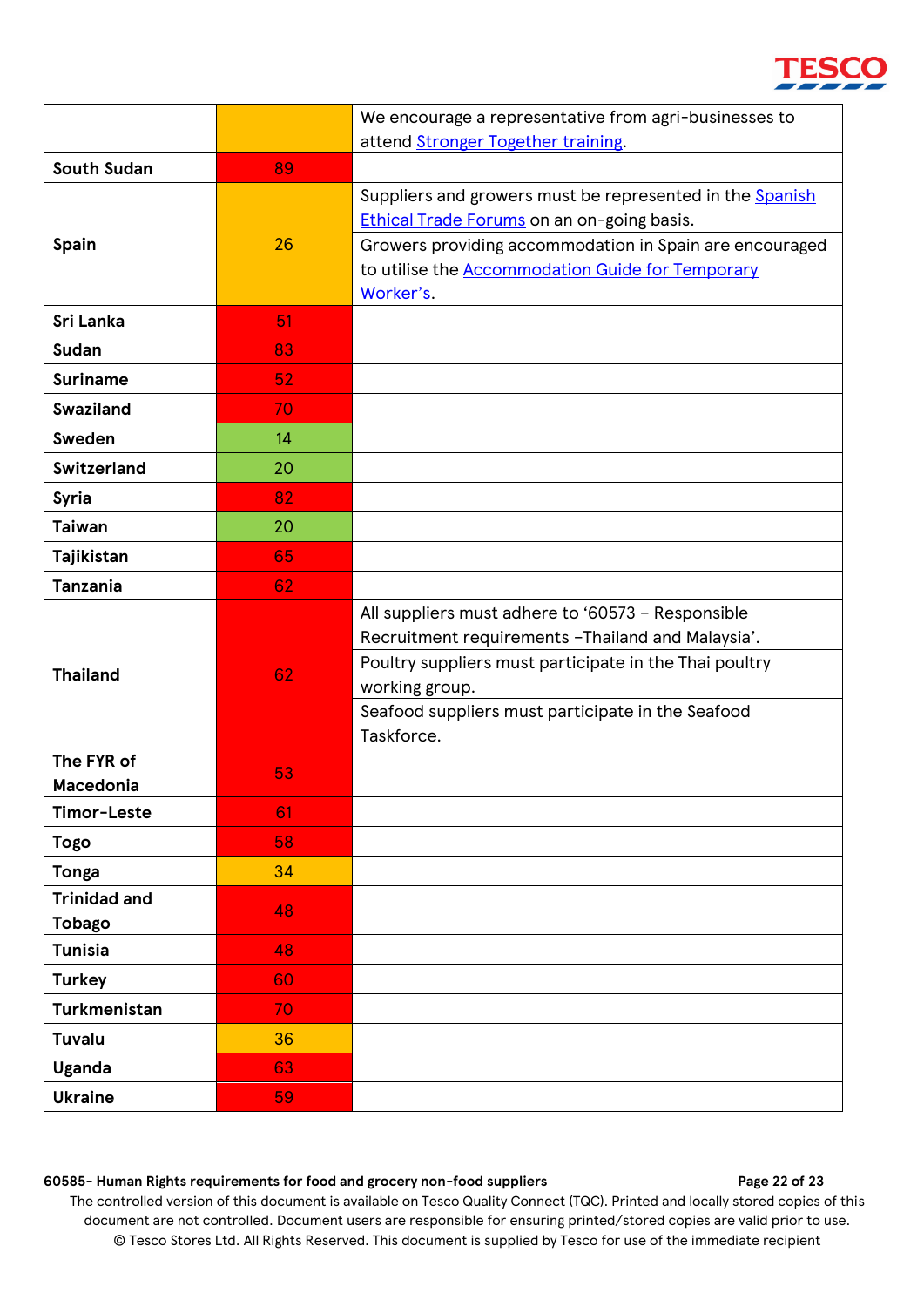|                                      |    | We encourage a representative from agri-businesses to                                                                                                                                                                                                  |
|--------------------------------------|----|--------------------------------------------------------------------------------------------------------------------------------------------------------------------------------------------------------------------------------------------------------|
|                                      |    | attend Stronger Together training.                                                                                                                                                                                                                     |
| <b>South Sudan</b>                   | 89 |                                                                                                                                                                                                                                                        |
| Spain                                | 26 | Suppliers and growers must be represented in the Spanish<br>Ethical Trade Forums on an on-going basis.<br>Growers providing accommodation in Spain are encouraged                                                                                      |
|                                      |    | to utilise the <b>Accommodation Guide for Temporary</b><br>Worker's.                                                                                                                                                                                   |
| <b>Sri Lanka</b>                     | 51 |                                                                                                                                                                                                                                                        |
| <b>Sudan</b>                         | 83 |                                                                                                                                                                                                                                                        |
| <b>Suriname</b>                      | 52 |                                                                                                                                                                                                                                                        |
| <b>Swaziland</b>                     | 70 |                                                                                                                                                                                                                                                        |
| Sweden                               | 14 |                                                                                                                                                                                                                                                        |
| <b>Switzerland</b>                   | 20 |                                                                                                                                                                                                                                                        |
| <b>Syria</b>                         | 82 |                                                                                                                                                                                                                                                        |
| <b>Taiwan</b>                        | 20 |                                                                                                                                                                                                                                                        |
| Tajikistan                           | 65 |                                                                                                                                                                                                                                                        |
| <b>Tanzania</b>                      | 62 |                                                                                                                                                                                                                                                        |
| <b>Thailand</b>                      | 62 | All suppliers must adhere to '60573 - Responsible<br>Recruitment requirements - Thailand and Malaysia'.<br>Poultry suppliers must participate in the Thai poultry<br>working group.<br>Seafood suppliers must participate in the Seafood<br>Taskforce. |
| The FYR of<br><b>Macedonia</b>       | 53 |                                                                                                                                                                                                                                                        |
| Timor-Leste                          | 61 |                                                                                                                                                                                                                                                        |
| <b>Togo</b>                          | 58 |                                                                                                                                                                                                                                                        |
| <b>Tonga</b>                         | 34 |                                                                                                                                                                                                                                                        |
| <b>Trinidad and</b><br><b>Tobago</b> | 48 |                                                                                                                                                                                                                                                        |
| <b>Tunisia</b>                       | 48 |                                                                                                                                                                                                                                                        |
| <b>Turkey</b>                        | 60 |                                                                                                                                                                                                                                                        |
| <b>Turkmenistan</b>                  | 70 |                                                                                                                                                                                                                                                        |
| <b>Tuvalu</b>                        | 36 |                                                                                                                                                                                                                                                        |
| Uganda                               | 63 |                                                                                                                                                                                                                                                        |
| <b>Ukraine</b>                       | 59 |                                                                                                                                                                                                                                                        |

#### **60585- Human Rights requirements for food and grocery non-food suppliers Page 22 of 23**